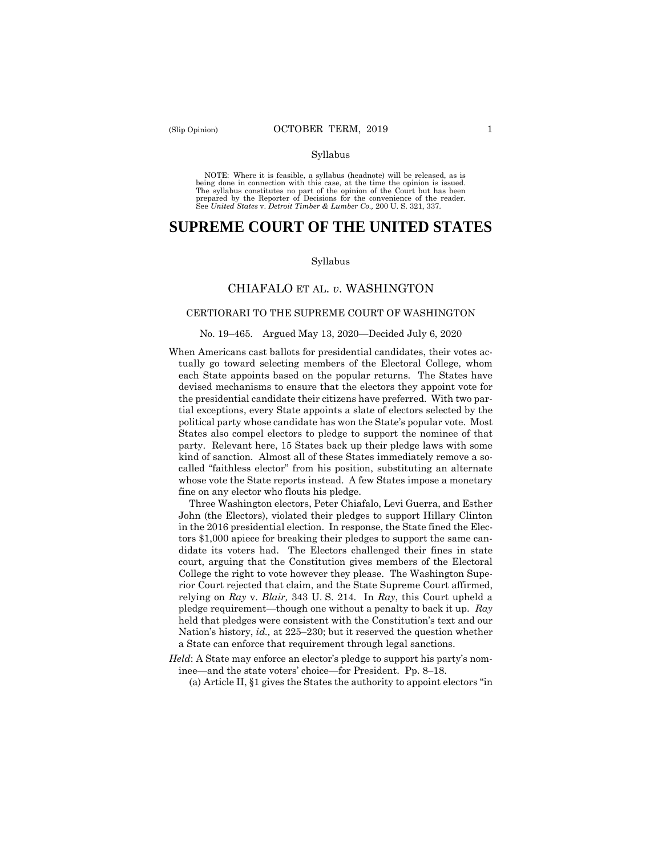#### Syllabus

 NOTE: Where it is feasible, a syllabus (headnote) will be released, as is being done in connection with this case, at the time the opinion is issued. The syllabus constitutes no part of the opinion of the Court but has been<br>prepared by the Reporter of Decisions for the convenience of the reader.<br>See United States v. Detroit Timber & Lumber Co., 200 U.S. 321, 337.

# **SUPREME COURT OF THE UNITED STATES**

#### Syllabus

## CHIAFALO ET AL. *v*. WASHINGTON

#### CERTIORARI TO THE SUPREME COURT OF WASHINGTON

#### No. 19–465. Argued May 13, 2020—Decided July 6, 2020

When Americans cast ballots for presidential candidates, their votes actually go toward selecting members of the Electoral College, whom each State appoints based on the popular returns. The States have devised mechanisms to ensure that the electors they appoint vote for the presidential candidate their citizens have preferred. With two partial exceptions, every State appoints a slate of electors selected by the political party whose candidate has won the State's popular vote. Most States also compel electors to pledge to support the nominee of that party. Relevant here, 15 States back up their pledge laws with some kind of sanction. Almost all of these States immediately remove a socalled "faithless elector" from his position, substituting an alternate whose vote the State reports instead. A few States impose a monetary fine on any elector who flouts his pledge.

Three Washington electors, Peter Chiafalo, Levi Guerra, and Esther John (the Electors), violated their pledges to support Hillary Clinton in the 2016 presidential election. In response, the State fined the Electors \$1,000 apiece for breaking their pledges to support the same candidate its voters had. The Electors challenged their fines in state court, arguing that the Constitution gives members of the Electoral College the right to vote however they please. The Washington Superior Court rejected that claim, and the State Supreme Court affirmed, relying on *Ray* v. *Blair,* 343 U. S. 214. In *Ray*, this Court upheld a pledge requirement—though one without a penalty to back it up. *Ray* held that pledges were consistent with the Constitution's text and our Nation's history, *id.,* at 225–230; but it reserved the question whether a State can enforce that requirement through legal sanctions.

*Held*: A State may enforce an elector's pledge to support his party's nominee—and the state voters' choice—for President. Pp. 8–18.

(a) Article II, §1 gives the States the authority to appoint electors "in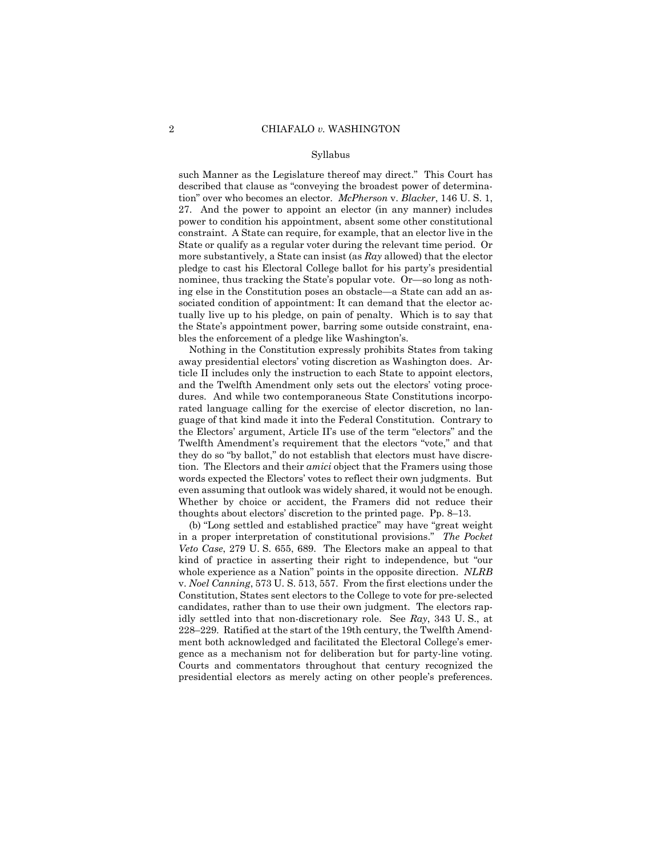#### Syllabus

such Manner as the Legislature thereof may direct." This Court has described that clause as "conveying the broadest power of determination" over who becomes an elector. *McPherson* v. *Blacker*, 146 U. S. 1, 27. And the power to appoint an elector (in any manner) includes power to condition his appointment, absent some other constitutional constraint. A State can require, for example, that an elector live in the State or qualify as a regular voter during the relevant time period. Or more substantively, a State can insist (as *Ray* allowed) that the elector pledge to cast his Electoral College ballot for his party's presidential nominee, thus tracking the State's popular vote. Or—so long as nothing else in the Constitution poses an obstacle—a State can add an associated condition of appointment: It can demand that the elector actually live up to his pledge, on pain of penalty. Which is to say that the State's appointment power, barring some outside constraint, enables the enforcement of a pledge like Washington's.

Nothing in the Constitution expressly prohibits States from taking away presidential electors' voting discretion as Washington does. Article II includes only the instruction to each State to appoint electors, and the Twelfth Amendment only sets out the electors' voting procedures. And while two contemporaneous State Constitutions incorporated language calling for the exercise of elector discretion, no language of that kind made it into the Federal Constitution. Contrary to the Electors' argument, Article II's use of the term "electors" and the Twelfth Amendment's requirement that the electors "vote," and that they do so "by ballot," do not establish that electors must have discretion. The Electors and their *amici* object that the Framers using those words expected the Electors' votes to reflect their own judgments. But even assuming that outlook was widely shared, it would not be enough. Whether by choice or accident, the Framers did not reduce their thoughts about electors' discretion to the printed page. Pp. 8–13.

 in a proper interpretation of constitutional provisions." *The Pocket*  (b) "Long settled and established practice" may have "great weight *Veto Case*, 279 U. S. 655, 689. The Electors make an appeal to that kind of practice in asserting their right to independence, but "our whole experience as a Nation" points in the opposite direction. *NLRB*  v. *Noel Canning*, 573 U. S. 513, 557. From the first elections under the Constitution, States sent electors to the College to vote for pre-selected candidates, rather than to use their own judgment. The electors rapidly settled into that non-discretionary role. See *Ray*, 343 U. S., at 228–229. Ratified at the start of the 19th century, the Twelfth Amendment both acknowledged and facilitated the Electoral College's emergence as a mechanism not for deliberation but for party-line voting. Courts and commentators throughout that century recognized the presidential electors as merely acting on other people's preferences.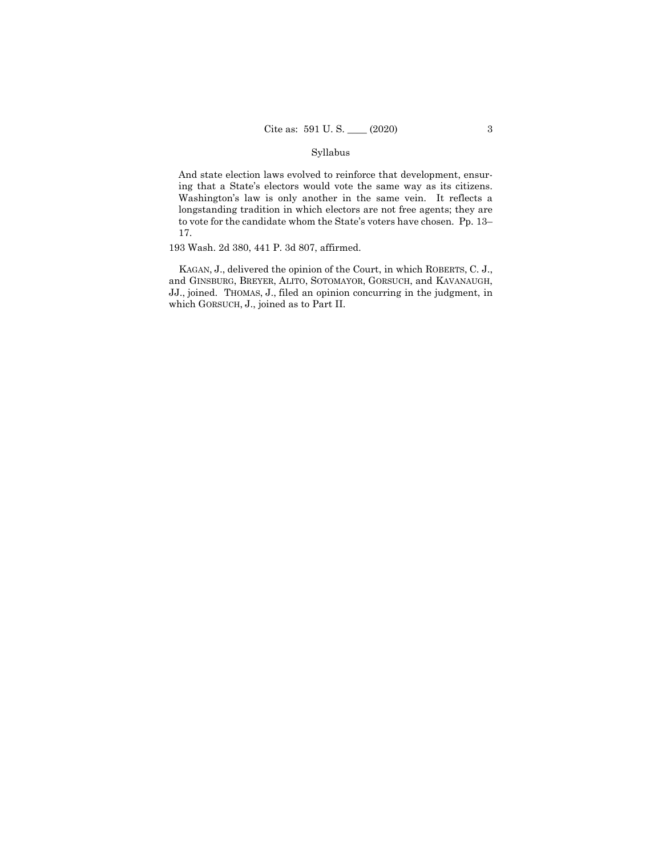### Syllabus

 ing that a State's electors would vote the same way as its citizens. And state election laws evolved to reinforce that development, ensur-Washington's law is only another in the same vein. It reflects a longstanding tradition in which electors are not free agents; they are to vote for the candidate whom the State's voters have chosen. Pp. 13– 17.

193 Wash. 2d 380, 441 P. 3d 807, affirmed.

 KAGAN, J., delivered the opinion of the Court, in which ROBERTS, C. J., and GINSBURG, BREYER, ALITO, SOTOMAYOR, GORSUCH, and KAVANAUGH, JJ., joined. THOMAS, J., filed an opinion concurring in the judgment, in which GORSUCH, J., joined as to Part II.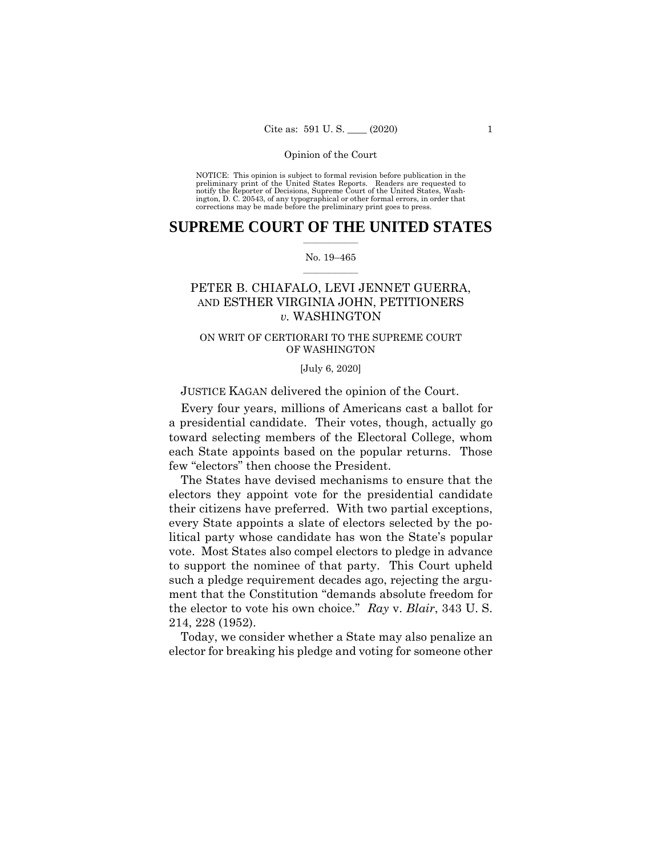NOTICE: This opinion is subject to formal revision before publication in the preliminary print of the United States Reports. Readers are requested to notify the Reporter of Decisions, Supreme Court of the United States, Wash-ington, D. C. 20543, of any typographical or other formal errors, in order that corrections may be made before the preliminary print goes to press.

## $\frac{1}{2}$  , where  $\frac{1}{2}$ **SUPREME COURT OF THE UNITED STATES**

#### $\frac{1}{2}$  ,  $\frac{1}{2}$  ,  $\frac{1}{2}$  ,  $\frac{1}{2}$  ,  $\frac{1}{2}$  ,  $\frac{1}{2}$ No. 19–465

## AND ESTHER VIRGINIA JOHN, PETITIONERS PETER B. CHIAFALO, LEVI JENNET GUERRA, *v.* WASHINGTON

## ON WRIT OF CERTIORARI TO THE SUPREME COURT OF WASHINGTON

[July 6, 2020]

JUSTICE KAGAN delivered the opinion of the Court.

Every four years, millions of Americans cast a ballot for a presidential candidate. Their votes, though, actually go toward selecting members of the Electoral College, whom each State appoints based on the popular returns. Those few "electors" then choose the President.

The States have devised mechanisms to ensure that the electors they appoint vote for the presidential candidate their citizens have preferred. With two partial exceptions, every State appoints a slate of electors selected by the political party whose candidate has won the State's popular vote. Most States also compel electors to pledge in advance to support the nominee of that party. This Court upheld such a pledge requirement decades ago, rejecting the argument that the Constitution "demands absolute freedom for the elector to vote his own choice." *Ray* v. *Blair*, 343 U. S. 214, 228 (1952).

Today, we consider whether a State may also penalize an elector for breaking his pledge and voting for someone other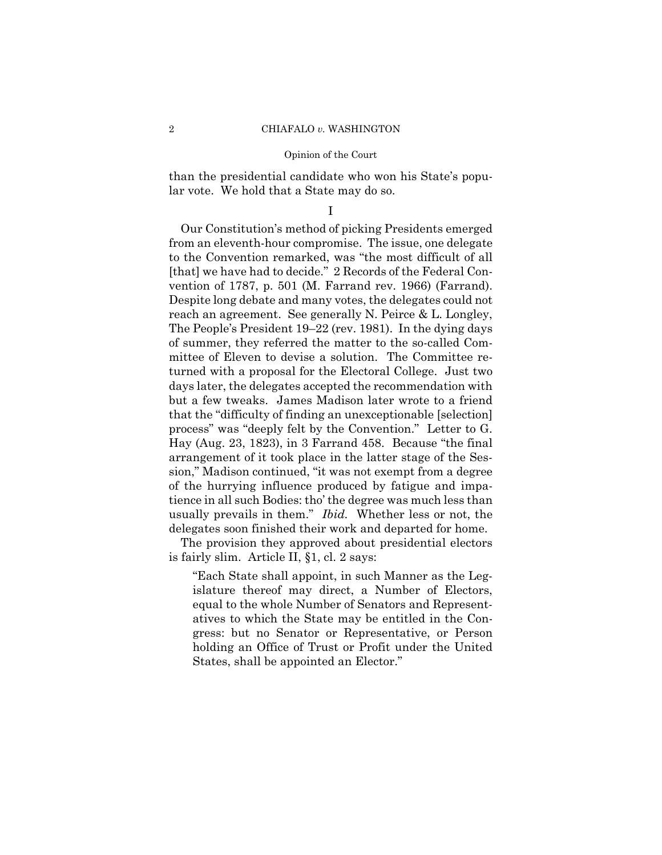than the presidential candidate who won his State's popular vote. We hold that a State may do so.

I

Our Constitution's method of picking Presidents emerged from an eleventh-hour compromise. The issue, one delegate to the Convention remarked, was "the most difficult of all [that] we have had to decide." 2 Records of the Federal Convention of 1787, p. 501 (M. Farrand rev. 1966) (Farrand). Despite long debate and many votes, the delegates could not reach an agreement. See generally N. Peirce & L. Longley, The People's President 19–22 (rev. 1981). In the dying days of summer, they referred the matter to the so-called Committee of Eleven to devise a solution. The Committee returned with a proposal for the Electoral College. Just two days later, the delegates accepted the recommendation with but a few tweaks. James Madison later wrote to a friend that the "difficulty of finding an unexceptionable [selection] process" was "deeply felt by the Convention." Letter to G. Hay (Aug. 23, 1823), in 3 Farrand 458. Because "the final arrangement of it took place in the latter stage of the Session," Madison continued, "it was not exempt from a degree of the hurrying influence produced by fatigue and impatience in all such Bodies: tho' the degree was much less than usually prevails in them." *Ibid.* Whether less or not, the delegates soon finished their work and departed for home.

The provision they approved about presidential electors is fairly slim. Article II, §1, cl. 2 says:

"Each State shall appoint, in such Manner as the Legislature thereof may direct, a Number of Electors, equal to the whole Number of Senators and Representatives to which the State may be entitled in the Congress: but no Senator or Representative, or Person holding an Office of Trust or Profit under the United States, shall be appointed an Elector."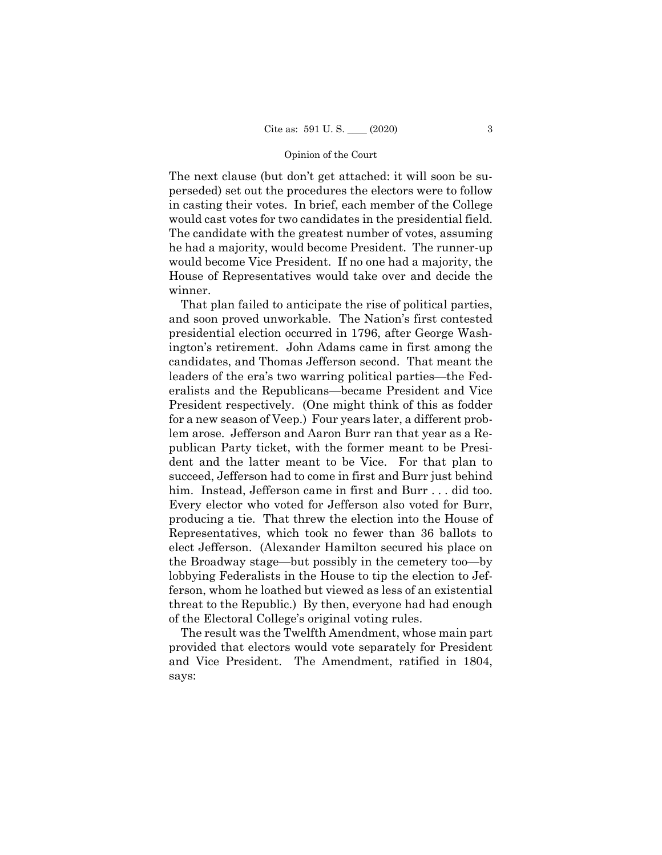The next clause (but don't get attached: it will soon be superseded) set out the procedures the electors were to follow in casting their votes. In brief, each member of the College would cast votes for two candidates in the presidential field. The candidate with the greatest number of votes, assuming he had a majority, would become President. The runner-up would become Vice President. If no one had a majority, the House of Representatives would take over and decide the winner.

That plan failed to anticipate the rise of political parties, and soon proved unworkable. The Nation's first contested presidential election occurred in 1796, after George Washington's retirement. John Adams came in first among the candidates, and Thomas Jefferson second. That meant the leaders of the era's two warring political parties—the Federalists and the Republicans—became President and Vice President respectively. (One might think of this as fodder for a new season of Veep.) Four years later, a different problem arose. Jefferson and Aaron Burr ran that year as a Republican Party ticket, with the former meant to be President and the latter meant to be Vice. For that plan to succeed, Jefferson had to come in first and Burr just behind him. Instead, Jefferson came in first and Burr . . . did too. Every elector who voted for Jefferson also voted for Burr, producing a tie. That threw the election into the House of Representatives, which took no fewer than 36 ballots to elect Jefferson. (Alexander Hamilton secured his place on the Broadway stage—but possibly in the cemetery too—by lobbying Federalists in the House to tip the election to Jefferson, whom he loathed but viewed as less of an existential threat to the Republic.) By then, everyone had had enough of the Electoral College's original voting rules.

The result was the Twelfth Amendment, whose main part provided that electors would vote separately for President and Vice President. The Amendment, ratified in 1804, says: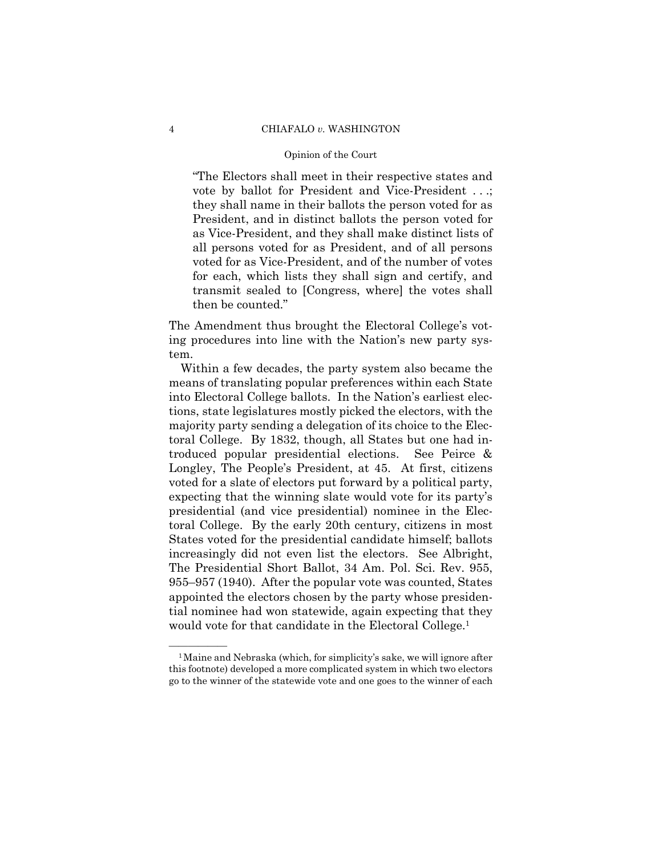## 4 CHIAFALO *v.* WASHINGTON

#### Opinion of the Court

"The Electors shall meet in their respective states and vote by ballot for President and Vice-President . . .; they shall name in their ballots the person voted for as President, and in distinct ballots the person voted for as Vice-President, and they shall make distinct lists of all persons voted for as President, and of all persons voted for as Vice-President, and of the number of votes for each, which lists they shall sign and certify, and transmit sealed to [Congress, where] the votes shall then be counted."

The Amendment thus brought the Electoral College's voting procedures into line with the Nation's new party system.

Within a few decades, the party system also became the means of translating popular preferences within each State into Electoral College ballots. In the Nation's earliest elections, state legislatures mostly picked the electors, with the majority party sending a delegation of its choice to the Electoral College. By 1832, though, all States but one had introduced popular presidential elections. See Peirce & Longley, The People's President, at 45. At first, citizens voted for a slate of electors put forward by a political party, expecting that the winning slate would vote for its party's presidential (and vice presidential) nominee in the Electoral College. By the early 20th century, citizens in most States voted for the presidential candidate himself; ballots increasingly did not even list the electors. See Albright, The Presidential Short Ballot, 34 Am. Pol. Sci. Rev. 955, 955–957 (1940). After the popular vote was counted, States appointed the electors chosen by the party whose presidential nominee had won statewide, again expecting that they would vote for that candidate in the Electoral College.1

 $\frac{1}{1}$ Maine and Nebraska (which, for simplicity's sake, we will ignore after this footnote) developed a more complicated system in which two electors go to the winner of the statewide vote and one goes to the winner of each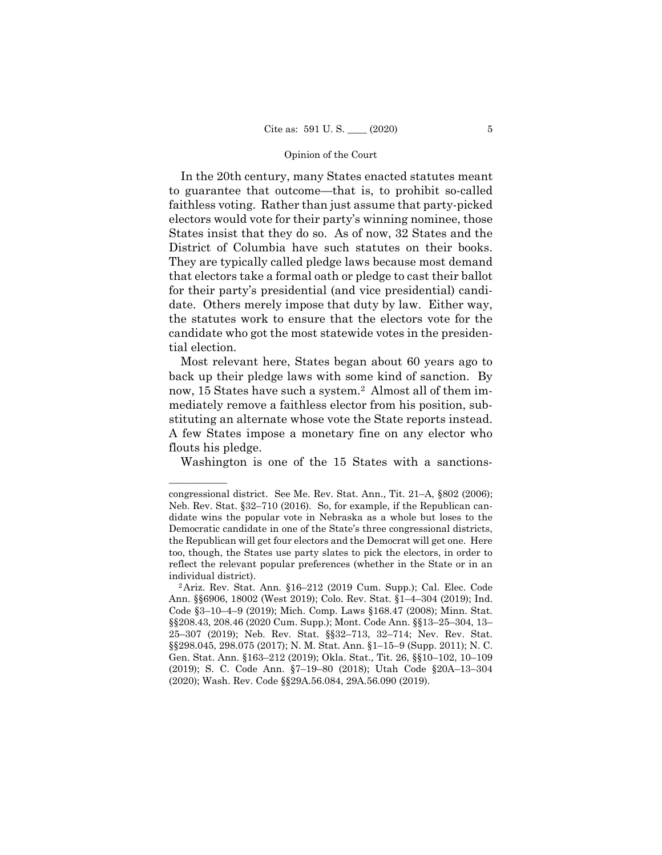In the 20th century, many States enacted statutes meant to guarantee that outcome—that is, to prohibit so-called faithless voting. Rather than just assume that party-picked electors would vote for their party's winning nominee, those States insist that they do so. As of now, 32 States and the District of Columbia have such statutes on their books. They are typically called pledge laws because most demand that electors take a formal oath or pledge to cast their ballot for their party's presidential (and vice presidential) candidate. Others merely impose that duty by law. Either way, the statutes work to ensure that the electors vote for the candidate who got the most statewide votes in the presidential election.

Most relevant here, States began about 60 years ago to back up their pledge laws with some kind of sanction. By now, 15 States have such a system.<sup>2</sup> Almost all of them immediately remove a faithless elector from his position, substituting an alternate whose vote the State reports instead. A few States impose a monetary fine on any elector who flouts his pledge.

Washington is one of the 15 States with a sanctions-

——————

congressional district. See Me. Rev. Stat. Ann., Tit. 21–A, §802 (2006); Neb. Rev. Stat. §32–710 (2016). So, for example, if the Republican candidate wins the popular vote in Nebraska as a whole but loses to the Democratic candidate in one of the State's three congressional districts, the Republican will get four electors and the Democrat will get one. Here too, though, the States use party slates to pick the electors, in order to reflect the relevant popular preferences (whether in the State or in an individual district). 2Ariz. Rev. Stat. Ann. §16–212 (2019 Cum. Supp.); Cal. Elec. Code

Ann. §§6906, 18002 (West 2019); Colo. Rev. Stat. §1–4–304 (2019); Ind. Code §3–10–4–9 (2019); Mich. Comp. Laws §168.47 (2008); Minn. Stat. §§208.43, 208.46 (2020 Cum. Supp.); Mont. Code Ann. §§13–25–304, 13– 25–307 (2019); Neb. Rev. Stat. §§32–713, 32–714; Nev. Rev. Stat. §§298.045, 298.075 (2017); N. M. Stat. Ann. §1–15–9 (Supp. 2011); N. C. Gen. Stat. Ann. §163–212 (2019); Okla. Stat., Tit. 26, §§10–102, 10–109 (2019); S. C. Code Ann. §7–19–80 (2018); Utah Code §20A–13–304 (2020); Wash. Rev. Code §§29A.56.084, 29A.56.090 (2019).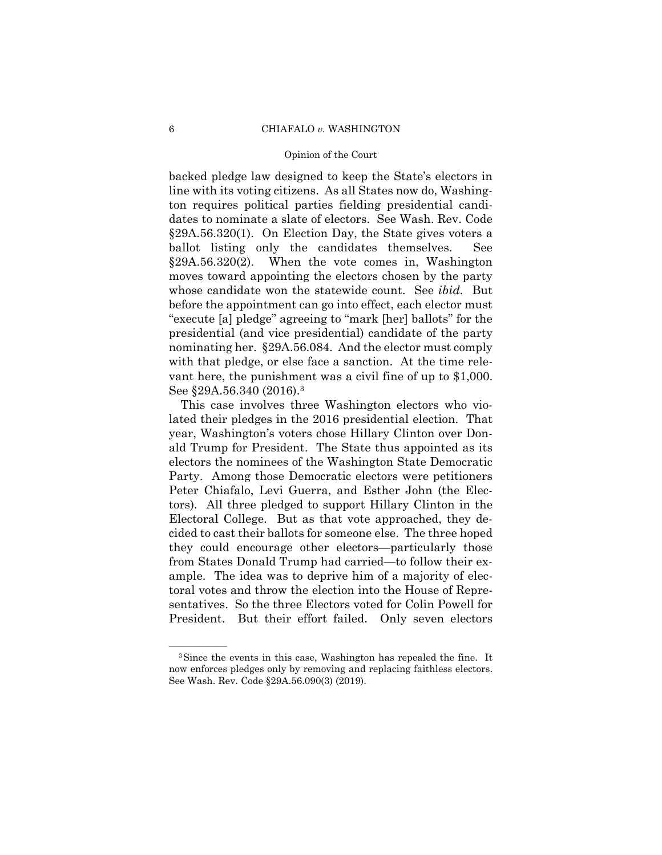vant here, the punishment was a civil fine of up to \$1,000. backed pledge law designed to keep the State's electors in line with its voting citizens. As all States now do, Washington requires political parties fielding presidential candidates to nominate a slate of electors. See Wash. Rev. Code §29A.56.320(1). On Election Day, the State gives voters a ballot listing only the candidates themselves. See §29A.56.320(2). When the vote comes in, Washington moves toward appointing the electors chosen by the party whose candidate won the statewide count. See *ibid.* But before the appointment can go into effect, each elector must "execute [a] pledge" agreeing to "mark [her] ballots" for the presidential (and vice presidential) candidate of the party nominating her. §29A.56.084. And the elector must comply with that pledge, or else face a sanction. At the time rele-See §29A.56.340 (2016).3

This case involves three Washington electors who violated their pledges in the 2016 presidential election. That year, Washington's voters chose Hillary Clinton over Donald Trump for President. The State thus appointed as its electors the nominees of the Washington State Democratic Party. Among those Democratic electors were petitioners Peter Chiafalo, Levi Guerra, and Esther John (the Electors). All three pledged to support Hillary Clinton in the Electoral College. But as that vote approached, they decided to cast their ballots for someone else. The three hoped they could encourage other electors—particularly those from States Donald Trump had carried—to follow their example. The idea was to deprive him of a majority of electoral votes and throw the election into the House of Representatives. So the three Electors voted for Colin Powell for President. But their effort failed. Only seven electors

<sup>&</sup>lt;sup>3</sup>Since the events in this case, Washington has repealed the fine. It now enforces pledges only by removing and replacing faithless electors. See Wash. Rev. Code §29A.56.090(3) (2019).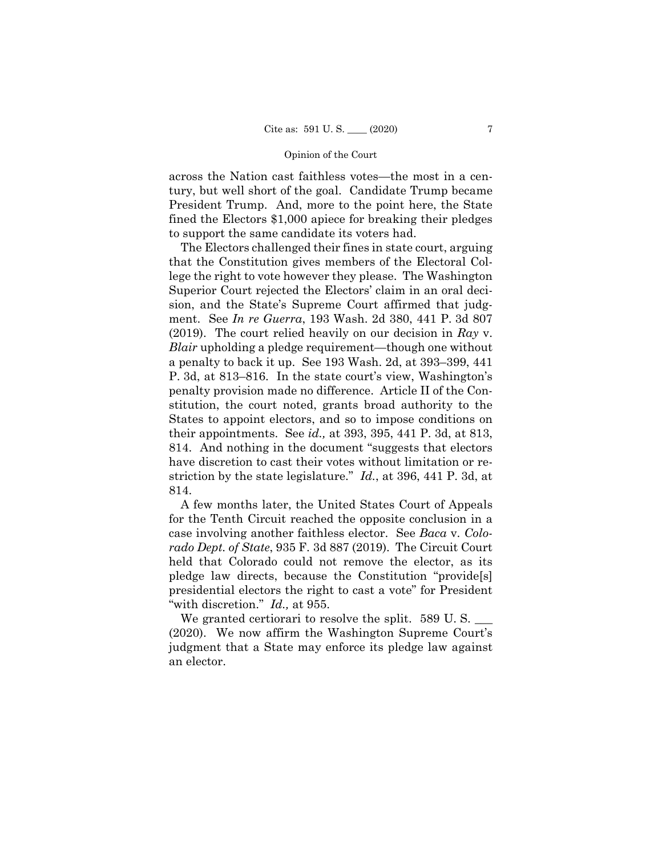across the Nation cast faithless votes—the most in a century, but well short of the goal. Candidate Trump became President Trump. And, more to the point here, the State fined the Electors \$1,000 apiece for breaking their pledges to support the same candidate its voters had.

The Electors challenged their fines in state court, arguing that the Constitution gives members of the Electoral College the right to vote however they please. The Washington Superior Court rejected the Electors' claim in an oral decision, and the State's Supreme Court affirmed that judgment. See *In re Guerra*, 193 Wash. 2d 380, 441 P. 3d 807 (2019). The court relied heavily on our decision in *Ray* v. *Blair* upholding a pledge requirement—though one without a penalty to back it up. See 193 Wash. 2d, at 393–399, 441 P. 3d, at 813–816. In the state court's view, Washington's penalty provision made no difference. Article II of the Constitution, the court noted, grants broad authority to the States to appoint electors, and so to impose conditions on their appointments. See *id.,* at 393, 395, 441 P. 3d, at 813, 814. And nothing in the document "suggests that electors have discretion to cast their votes without limitation or restriction by the state legislature." *Id.*, at 396, 441 P. 3d, at 814.

A few months later, the United States Court of Appeals for the Tenth Circuit reached the opposite conclusion in a case involving another faithless elector. See *Baca* v. *Colorado Dept. of State*, 935 F. 3d 887 (2019). The Circuit Court held that Colorado could not remove the elector, as its pledge law directs, because the Constitution "provide[s] presidential electors the right to cast a vote" for President "with discretion." *Id.,* at 955.

We granted certiorari to resolve the split. 589 U.S. (2020). We now affirm the Washington Supreme Court's judgment that a State may enforce its pledge law against an elector.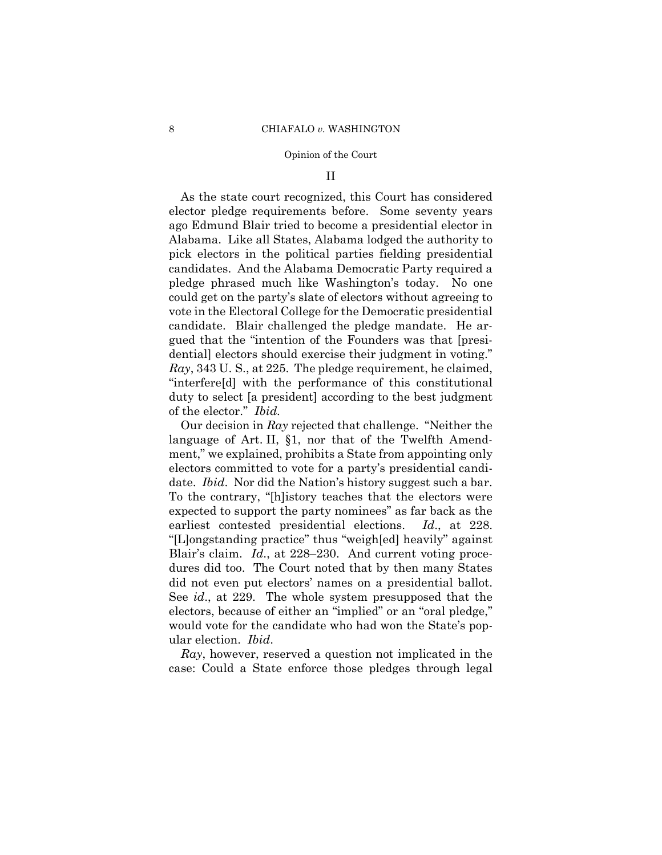#### II

As the state court recognized, this Court has considered elector pledge requirements before. Some seventy years ago Edmund Blair tried to become a presidential elector in Alabama. Like all States, Alabama lodged the authority to pick electors in the political parties fielding presidential candidates. And the Alabama Democratic Party required a pledge phrased much like Washington's today. No one could get on the party's slate of electors without agreeing to vote in the Electoral College for the Democratic presidential candidate. Blair challenged the pledge mandate. He argued that the "intention of the Founders was that [presidential] electors should exercise their judgment in voting." *Ray*, 343 U. S., at 225. The pledge requirement, he claimed, "interfere[d] with the performance of this constitutional duty to select [a president] according to the best judgment of the elector." *Ibid.* 

 date. *Ibid*. Nor did the Nation's history suggest such a bar. did not even put electors' names on a presidential ballot. Our decision in *Ray* rejected that challenge. "Neither the language of Art. II, §1, nor that of the Twelfth Amendment," we explained, prohibits a State from appointing only electors committed to vote for a party's presidential candi-To the contrary, "[h]istory teaches that the electors were expected to support the party nominees" as far back as the earliest contested presidential elections. *Id*., at 228. "[L]ongstanding practice" thus "weigh[ed] heavily" against Blair's claim. *Id*., at 228–230. And current voting procedures did too. The Court noted that by then many States See *id*., at 229. The whole system presupposed that the electors, because of either an "implied" or an "oral pledge," would vote for the candidate who had won the State's popular election. *Ibid*.

*Ray*, however, reserved a question not implicated in the case: Could a State enforce those pledges through legal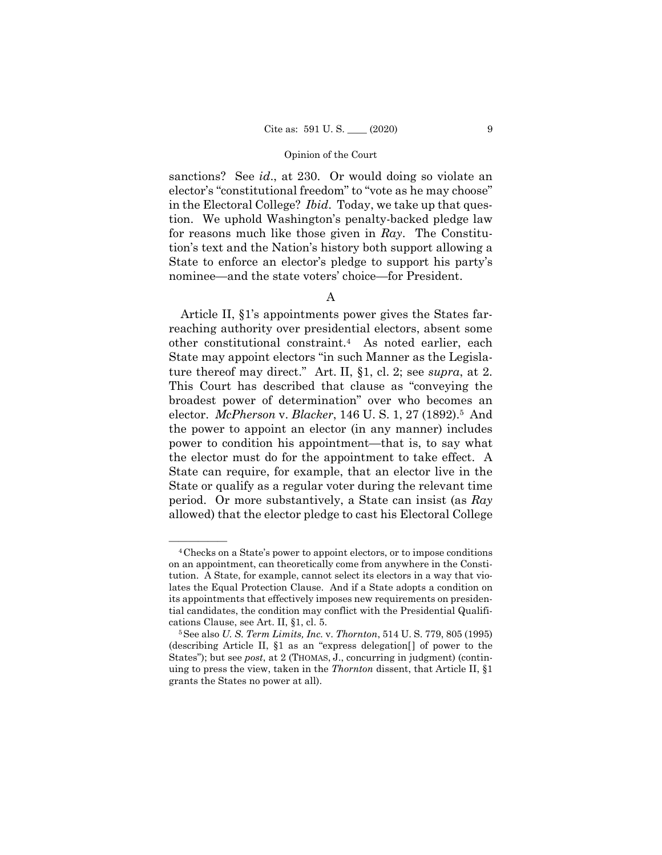sanctions? See *id*., at 230. Or would doing so violate an elector's "constitutional freedom" to "vote as he may choose" in the Electoral College? *Ibid*. Today, we take up that question. We uphold Washington's penalty-backed pledge law for reasons much like those given in *Ray*. The Constitution's text and the Nation's history both support allowing a State to enforce an elector's pledge to support his party's nominee—and the state voters' choice—for President.

## A

 other constitutional constraint.4 As noted earlier, each Article II, §1's appointments power gives the States farreaching authority over presidential electors, absent some State may appoint electors "in such Manner as the Legislature thereof may direct." Art. II, §1, cl. 2; see *supra*, at 2. This Court has described that clause as "conveying the broadest power of determination" over who becomes an elector. *McPherson* v. *Blacker*, 146 U. S. 1, 27 (1892).5 And the power to appoint an elector (in any manner) includes power to condition his appointment—that is, to say what the elector must do for the appointment to take effect. A State can require, for example, that an elector live in the State or qualify as a regular voter during the relevant time period. Or more substantively, a State can insist (as *Ray* allowed) that the elector pledge to cast his Electoral College

<sup>&</sup>lt;sup>4</sup> Checks on a State's power to appoint electors, or to impose conditions on an appointment, can theoretically come from anywhere in the Constitution. A State, for example, cannot select its electors in a way that violates the Equal Protection Clause. And if a State adopts a condition on its appointments that effectively imposes new requirements on presidential candidates, the condition may conflict with the Presidential Qualifications Clause, see Art. II, §1, cl. 5.<br><sup>5</sup>See also *U. S. Term Limits, Inc.* v. *Thornton*, 514 U. S. 779, 805 (1995)

<sup>(</sup>describing Article II, §1 as an "express delegation[] of power to the States"); but see *post*, at 2 (THOMAS, J., concurring in judgment) (continuing to press the view, taken in the *Thornton* dissent, that Article II, §1 grants the States no power at all).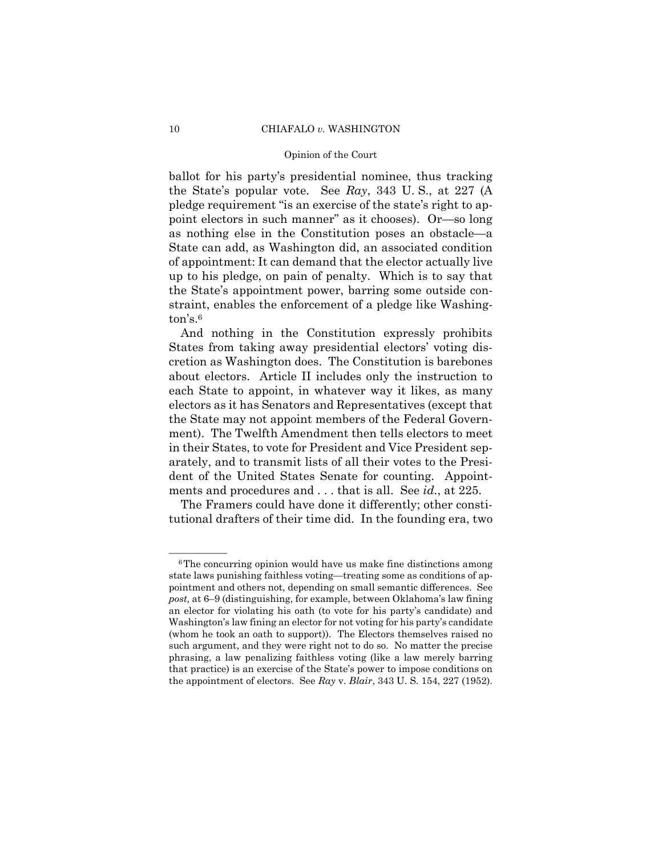ballot for his party's presidential nominee, thus tracking the State's popular vote. See *Ray*, 343 U. S., at 227 (A pledge requirement "is an exercise of the state's right to appoint electors in such manner" as it chooses). Or—so long as nothing else in the Constitution poses an obstacle—a State can add, as Washington did, an associated condition of appointment: It can demand that the elector actually live up to his pledge, on pain of penalty. Which is to say that the State's appointment power, barring some outside constraint, enables the enforcement of a pledge like Washington's.6

And nothing in the Constitution expressly prohibits States from taking away presidential electors' voting discretion as Washington does. The Constitution is barebones about electors. Article II includes only the instruction to each State to appoint, in whatever way it likes, as many electors as it has Senators and Representatives (except that the State may not appoint members of the Federal Government). The Twelfth Amendment then tells electors to meet in their States, to vote for President and Vice President separately, and to transmit lists of all their votes to the President of the United States Senate for counting. Appointments and procedures and . . . that is all. See *id.*, at 225.

The Framers could have done it differently; other constitutional drafters of their time did. In the founding era, two

 ${}^6$ The concurring opinion would have us make fine distinctions among state laws punishing faithless voting—treating some as conditions of appointment and others not, depending on small semantic differences. See *post,* at 6–9 (distinguishing, for example, between Oklahoma's law fining an elector for violating his oath (to vote for his party's candidate) and Washington's law fining an elector for not voting for his party's candidate (whom he took an oath to support)). The Electors themselves raised no such argument, and they were right not to do so. No matter the precise phrasing, a law penalizing faithless voting (like a law merely barring that practice) is an exercise of the State's power to impose conditions on the appointment of electors. See *Ray* v. *Blair*, 343 U. S. 154, 227 (1952).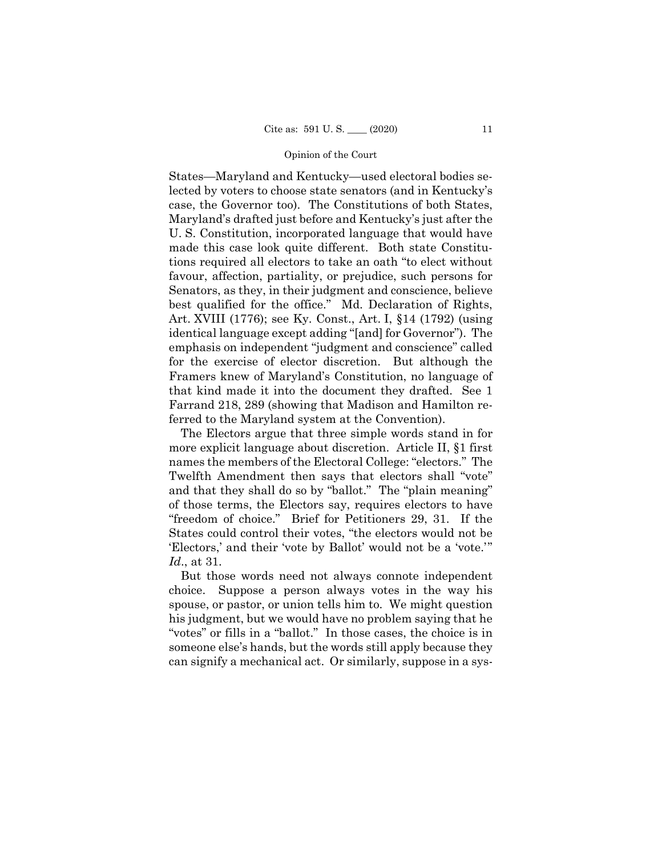States—Maryland and Kentucky—used electoral bodies selected by voters to choose state senators (and in Kentucky's case, the Governor too). The Constitutions of both States, Maryland's drafted just before and Kentucky's just after the U. S. Constitution, incorporated language that would have made this case look quite different. Both state Constitutions required all electors to take an oath "to elect without favour, affection, partiality, or prejudice, such persons for Senators, as they, in their judgment and conscience, believe best qualified for the office." Md. Declaration of Rights, Art. XVIII (1776); see Ky. Const., Art. I, §14 (1792) (using identical language except adding "[and] for Governor"). The emphasis on independent "judgment and conscience" called for the exercise of elector discretion. But although the Framers knew of Maryland's Constitution, no language of that kind made it into the document they drafted. See 1 Farrand 218, 289 (showing that Madison and Hamilton referred to the Maryland system at the Convention).

The Electors argue that three simple words stand in for more explicit language about discretion. Article II, §1 first names the members of the Electoral College: "electors." The Twelfth Amendment then says that electors shall "vote" and that they shall do so by "ballot." The "plain meaning" of those terms, the Electors say, requires electors to have "freedom of choice." Brief for Petitioners 29, 31. If the States could control their votes, "the electors would not be 'Electors,' and their 'vote by Ballot' would not be a 'vote.'" *Id*., at 31.

But those words need not always connote independent choice. Suppose a person always votes in the way his spouse, or pastor, or union tells him to. We might question his judgment, but we would have no problem saying that he "votes" or fills in a "ballot." In those cases, the choice is in someone else's hands, but the words still apply because they can signify a mechanical act. Or similarly, suppose in a sys-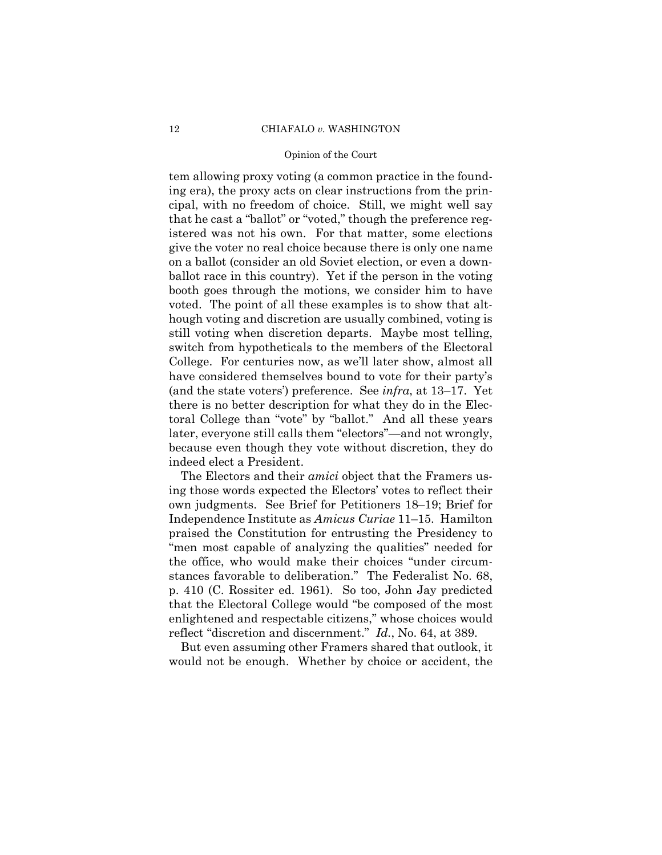tem allowing proxy voting (a common practice in the founding era), the proxy acts on clear instructions from the principal, with no freedom of choice. Still, we might well say that he cast a "ballot" or "voted," though the preference registered was not his own. For that matter, some elections give the voter no real choice because there is only one name on a ballot (consider an old Soviet election, or even a downballot race in this country). Yet if the person in the voting booth goes through the motions, we consider him to have voted. The point of all these examples is to show that although voting and discretion are usually combined, voting is still voting when discretion departs. Maybe most telling, switch from hypotheticals to the members of the Electoral College. For centuries now, as we'll later show, almost all have considered themselves bound to vote for their party's (and the state voters') preference. See *infra*, at 13–17. Yet there is no better description for what they do in the Electoral College than "vote" by "ballot." And all these years later, everyone still calls them "electors"—and not wrongly, because even though they vote without discretion, they do indeed elect a President.

The Electors and their *amici* object that the Framers using those words expected the Electors' votes to reflect their own judgments. See Brief for Petitioners 18–19; Brief for Independence Institute as *Amicus Curiae* 11–15. Hamilton praised the Constitution for entrusting the Presidency to "men most capable of analyzing the qualities" needed for the office, who would make their choices "under circumstances favorable to deliberation." The Federalist No. 68, p. 410 (C. Rossiter ed. 1961). So too, John Jay predicted that the Electoral College would "be composed of the most enlightened and respectable citizens," whose choices would reflect "discretion and discernment." *Id.*, No. 64, at 389.

But even assuming other Framers shared that outlook, it would not be enough. Whether by choice or accident, the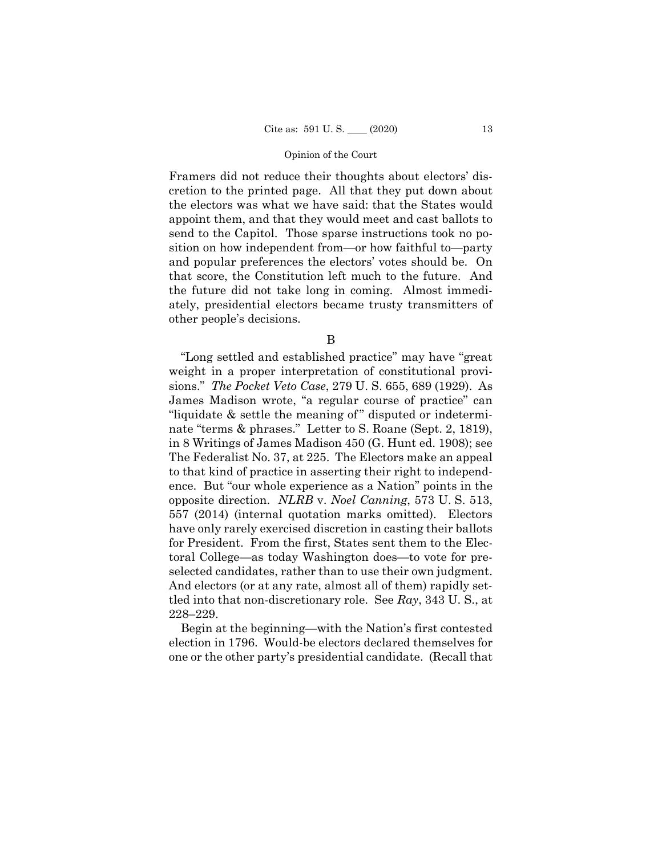Framers did not reduce their thoughts about electors' discretion to the printed page. All that they put down about the electors was what we have said: that the States would appoint them, and that they would meet and cast ballots to send to the Capitol. Those sparse instructions took no position on how independent from—or how faithful to—party and popular preferences the electors' votes should be. On that score, the Constitution left much to the future. And the future did not take long in coming. Almost immediately, presidential electors became trusty transmitters of other people's decisions.

B

"Long settled and established practice" may have "great weight in a proper interpretation of constitutional provisions." *The Pocket Veto Case*, 279 U. S. 655, 689 (1929). As James Madison wrote, "a regular course of practice" can "liquidate & settle the meaning of" disputed or indeterminate "terms & phrases." Letter to S. Roane (Sept. 2, 1819), in 8 Writings of James Madison 450 (G. Hunt ed. 1908); see The Federalist No. 37, at 225. The Electors make an appeal to that kind of practice in asserting their right to independence. But "our whole experience as a Nation" points in the opposite direction. *NLRB* v. *Noel Canning*, 573 U. S. 513, 557 (2014) (internal quotation marks omitted). Electors have only rarely exercised discretion in casting their ballots for President. From the first, States sent them to the Electoral College—as today Washington does—to vote for preselected candidates, rather than to use their own judgment. And electors (or at any rate, almost all of them) rapidly settled into that non-discretionary role. See *Ray*, 343 U. S., at 228–229.

Begin at the beginning—with the Nation's first contested election in 1796. Would-be electors declared themselves for one or the other party's presidential candidate. (Recall that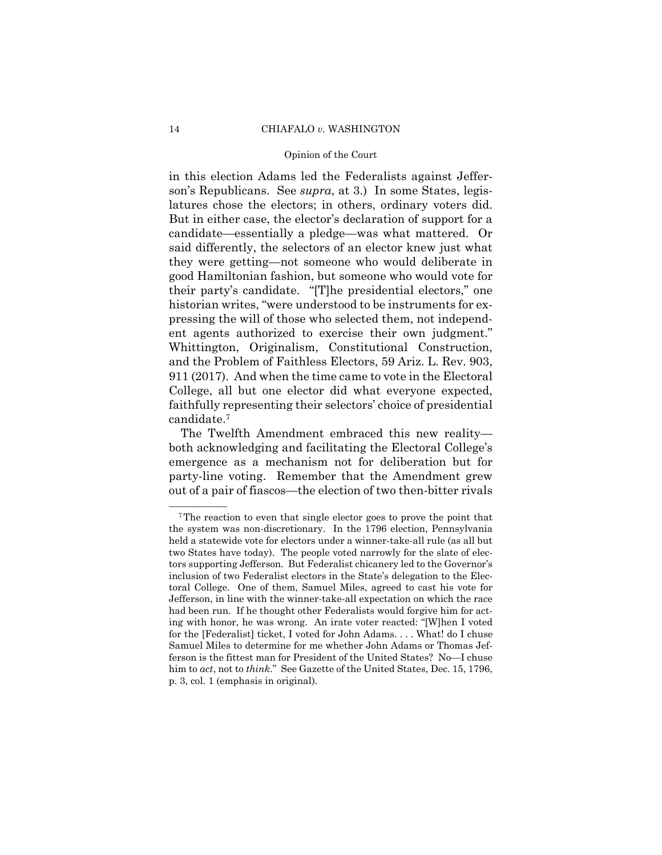in this election Adams led the Federalists against Jefferson's Republicans. See *supra*, at 3.) In some States, legislatures chose the electors; in others, ordinary voters did. But in either case, the elector's declaration of support for a candidate—essentially a pledge—was what mattered. Or said differently, the selectors of an elector knew just what they were getting—not someone who would deliberate in good Hamiltonian fashion, but someone who would vote for their party's candidate. "[T]he presidential electors," one historian writes, "were understood to be instruments for expressing the will of those who selected them, not independent agents authorized to exercise their own judgment." Whittington, Originalism, Constitutional Construction, and the Problem of Faithless Electors, 59 Ariz. L. Rev. 903, 911 (2017). And when the time came to vote in the Electoral College, all but one elector did what everyone expected, faithfully representing their selectors' choice of presidential candidate.7

The Twelfth Amendment embraced this new reality both acknowledging and facilitating the Electoral College's emergence as a mechanism not for deliberation but for party-line voting. Remember that the Amendment grew out of a pair of fiascos—the election of two then-bitter rivals

<sup>&</sup>lt;sup>7</sup>The reaction to even that single elector goes to prove the point that the system was non-discretionary. In the 1796 election, Pennsylvania held a statewide vote for electors under a winner-take-all rule (as all but two States have today). The people voted narrowly for the slate of electors supporting Jefferson. But Federalist chicanery led to the Governor's inclusion of two Federalist electors in the State's delegation to the Electoral College. One of them, Samuel Miles, agreed to cast his vote for Jefferson, in line with the winner-take-all expectation on which the race had been run. If he thought other Federalists would forgive him for acting with honor, he was wrong. An irate voter reacted: "[W]hen I voted for the [Federalist] ticket, I voted for John Adams. . . . What! do I chuse Samuel Miles to determine for me whether John Adams or Thomas Jefferson is the fittest man for President of the United States? No—I chuse him to *act*, not to *think*." See Gazette of the United States, Dec. 15, 1796, p. 3, col. 1 (emphasis in original).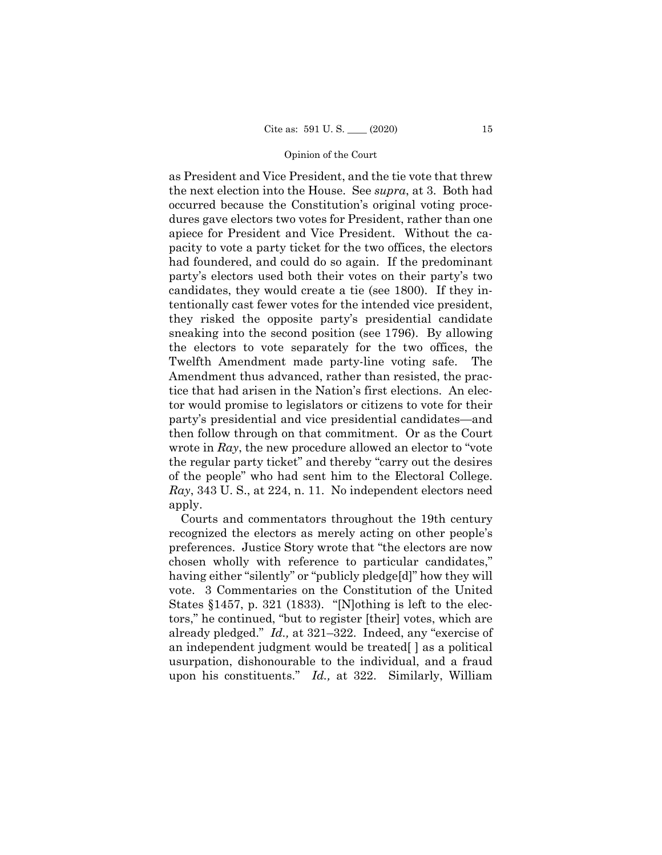as President and Vice President, and the tie vote that threw the next election into the House. See *supra*, at 3. Both had occurred because the Constitution's original voting procedures gave electors two votes for President, rather than one apiece for President and Vice President. Without the capacity to vote a party ticket for the two offices, the electors had foundered, and could do so again. If the predominant party's electors used both their votes on their party's two candidates, they would create a tie (see 1800). If they intentionally cast fewer votes for the intended vice president, they risked the opposite party's presidential candidate sneaking into the second position (see 1796). By allowing the electors to vote separately for the two offices, the Twelfth Amendment made party-line voting safe. The Amendment thus advanced, rather than resisted, the practice that had arisen in the Nation's first elections. An elector would promise to legislators or citizens to vote for their party's presidential and vice presidential candidates—and then follow through on that commitment. Or as the Court wrote in *Ray*, the new procedure allowed an elector to "vote the regular party ticket" and thereby "carry out the desires of the people" who had sent him to the Electoral College. *Ray*, 343 U. S., at 224, n. 11. No independent electors need apply.

Courts and commentators throughout the 19th century recognized the electors as merely acting on other people's preferences. Justice Story wrote that "the electors are now chosen wholly with reference to particular candidates," having either "silently" or "publicly pledge[d]" how they will vote. 3 Commentaries on the Constitution of the United States §1457, p. 321 (1833). "[N]othing is left to the electors," he continued, "but to register [their] votes, which are already pledged." *Id.,* at 321–322. Indeed, any "exercise of an independent judgment would be treated[ ] as a political usurpation, dishonourable to the individual, and a fraud upon his constituents." *Id.,* at 322. Similarly, William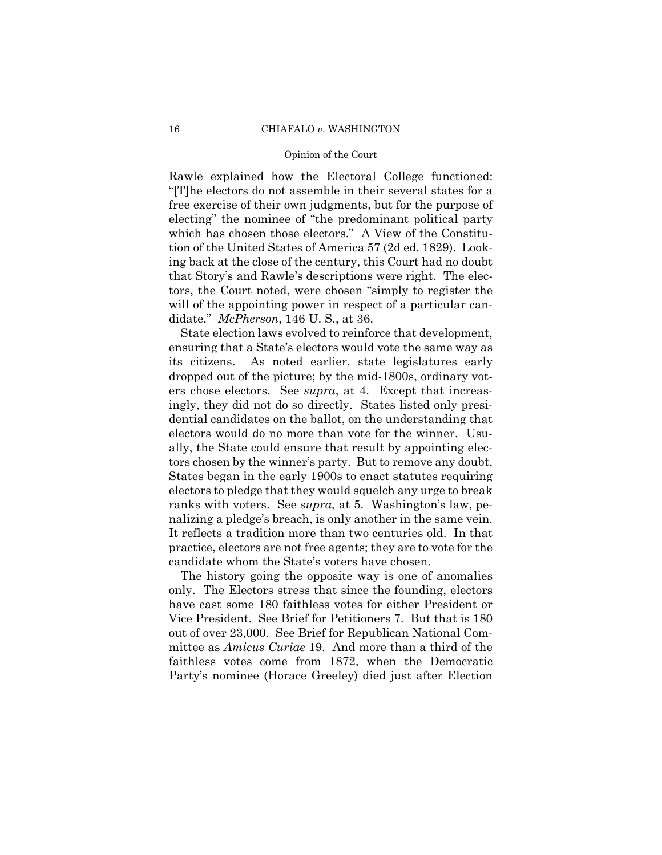#### 16 CHIAFALO *v.* WASHINGTON

#### Opinion of the Court

Rawle explained how the Electoral College functioned: "[T]he electors do not assemble in their several states for a free exercise of their own judgments, but for the purpose of electing" the nominee of "the predominant political party which has chosen those electors." A View of the Constitution of the United States of America 57 (2d ed. 1829). Looking back at the close of the century, this Court had no doubt that Story's and Rawle's descriptions were right. The electors, the Court noted, were chosen "simply to register the will of the appointing power in respect of a particular candidate." *McPherson*, 146 U. S., at 36.

State election laws evolved to reinforce that development, ensuring that a State's electors would vote the same way as its citizens. As noted earlier, state legislatures early dropped out of the picture; by the mid-1800s, ordinary voters chose electors. See *supra*, at 4. Except that increasingly, they did not do so directly. States listed only presidential candidates on the ballot, on the understanding that electors would do no more than vote for the winner. Usually, the State could ensure that result by appointing electors chosen by the winner's party. But to remove any doubt, States began in the early 1900s to enact statutes requiring electors to pledge that they would squelch any urge to break ranks with voters. See *supra,* at 5. Washington's law, penalizing a pledge's breach, is only another in the same vein. It reflects a tradition more than two centuries old. In that practice, electors are not free agents; they are to vote for the candidate whom the State's voters have chosen.

The history going the opposite way is one of anomalies only. The Electors stress that since the founding, electors have cast some 180 faithless votes for either President or Vice President. See Brief for Petitioners 7. But that is 180 out of over 23,000. See Brief for Republican National Committee as *Amicus Curiae* 19. And more than a third of the faithless votes come from 1872, when the Democratic Party's nominee (Horace Greeley) died just after Election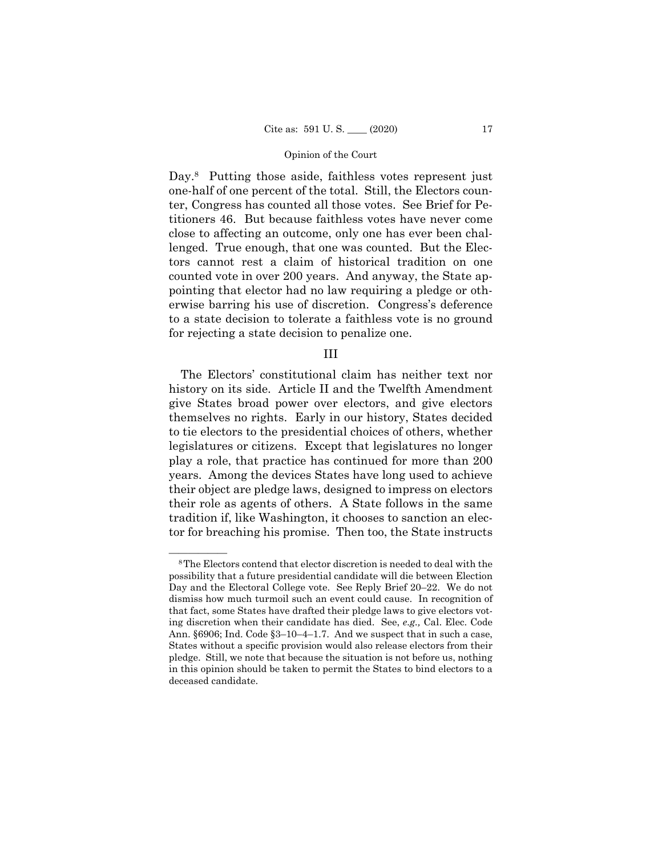Day.8 Putting those aside, faithless votes represent just one-half of one percent of the total. Still, the Electors counter, Congress has counted all those votes. See Brief for Petitioners 46. But because faithless votes have never come close to affecting an outcome, only one has ever been challenged. True enough, that one was counted. But the Electors cannot rest a claim of historical tradition on one counted vote in over 200 years. And anyway, the State appointing that elector had no law requiring a pledge or otherwise barring his use of discretion. Congress's deference to a state decision to tolerate a faithless vote is no ground for rejecting a state decision to penalize one.

III

The Electors' constitutional claim has neither text nor history on its side. Article II and the Twelfth Amendment give States broad power over electors, and give electors themselves no rights. Early in our history, States decided to tie electors to the presidential choices of others, whether legislatures or citizens. Except that legislatures no longer play a role, that practice has continued for more than 200 years. Among the devices States have long used to achieve their object are pledge laws, designed to impress on electors their role as agents of others. A State follows in the same tradition if, like Washington, it chooses to sanction an elector for breaching his promise. Then too, the State instructs

<sup>&</sup>lt;sup>8</sup>The Electors contend that elector discretion is needed to deal with the possibility that a future presidential candidate will die between Election Day and the Electoral College vote. See Reply Brief 20–22. We do not dismiss how much turmoil such an event could cause. In recognition of that fact, some States have drafted their pledge laws to give electors voting discretion when their candidate has died. See, *e.g.,* Cal. Elec. Code Ann. §6906; Ind. Code §3–10–4–1.7. And we suspect that in such a case, States without a specific provision would also release electors from their pledge. Still, we note that because the situation is not before us, nothing in this opinion should be taken to permit the States to bind electors to a deceased candidate.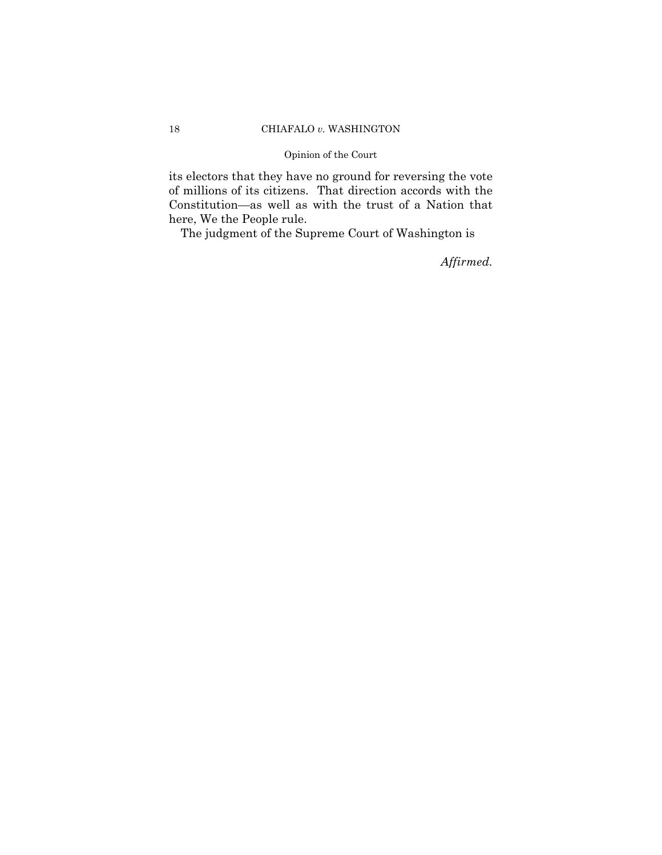## 18 CHIAFALO *v.* WASHINGTON

## Opinion of the Court

its electors that they have no ground for reversing the vote of millions of its citizens. That direction accords with the Constitution—as well as with the trust of a Nation that here, We the People rule.

The judgment of the Supreme Court of Washington is

*Affirmed.*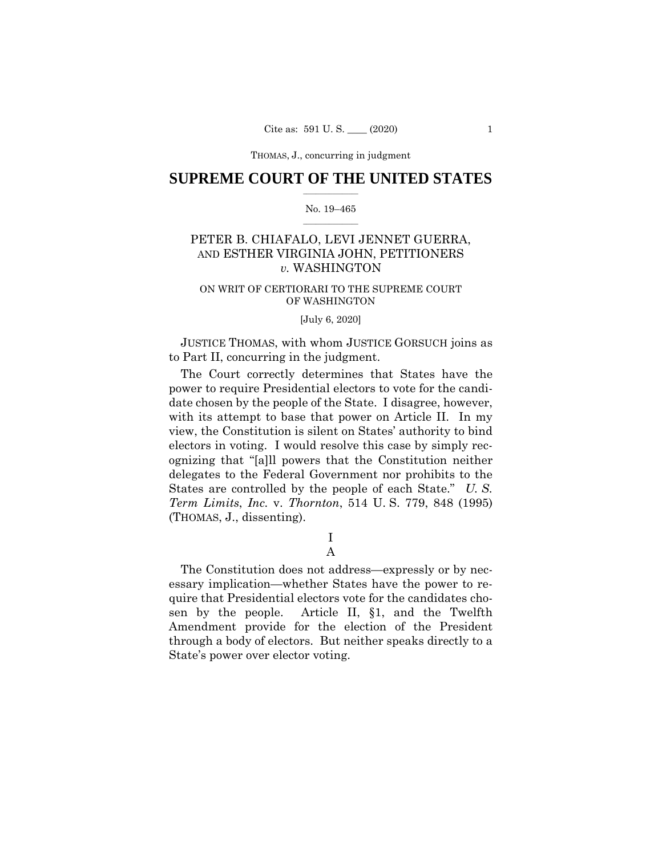THOMAS, J., concurring THOMAS, J., concurring in judgment

## $\frac{1}{2}$  , where  $\frac{1}{2}$ **SUPREME COURT OF THE UNITED STATES**

#### $\frac{1}{2}$  ,  $\frac{1}{2}$  ,  $\frac{1}{2}$  ,  $\frac{1}{2}$  ,  $\frac{1}{2}$  ,  $\frac{1}{2}$ No. 19–465

## AND ESTHER VIRGINIA JOHN, PETITIONERS PETER B. CHIAFALO, LEVI JENNET GUERRA, *v.* WASHINGTON

### ON WRIT OF CERTIORARI TO THE SUPREME COURT OF WASHINGTON

#### [July 6, 2020]

 JUSTICE THOMAS, with whom JUSTICE GORSUCH joins as to Part II, concurring in the judgment.

The Court correctly determines that States have the power to require Presidential electors to vote for the candidate chosen by the people of the State. I disagree, however, with its attempt to base that power on Article II. In my view, the Constitution is silent on States' authority to bind electors in voting. I would resolve this case by simply recognizing that "[a]ll powers that the Constitution neither delegates to the Federal Government nor prohibits to the States are controlled by the people of each State." *U. S. Term Limits*, *Inc.* v. *Thornton*, 514 U. S. 779, 848 (1995) (THOMAS, J., dissenting).

> I A

The Constitution does not address—expressly or by necessary implication—whether States have the power to require that Presidential electors vote for the candidates chosen by the people. Article II, §1, and the Twelfth Amendment provide for the election of the President through a body of electors. But neither speaks directly to a State's power over elector voting.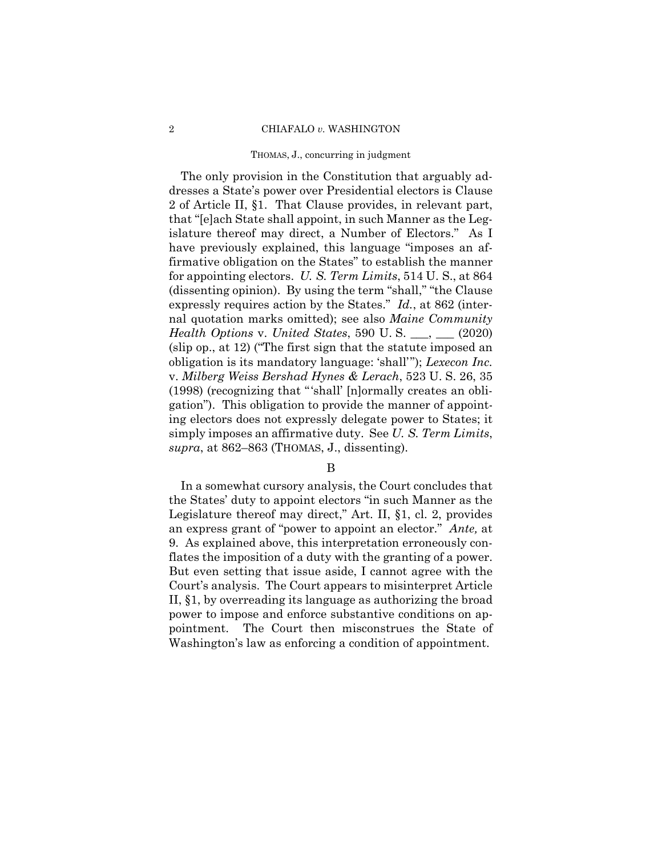The only provision in the Constitution that arguably addresses a State's power over Presidential electors is Clause 2 of Article II, §1. That Clause provides, in relevant part, that "[e]ach State shall appoint, in such Manner as the Legislature thereof may direct, a Number of Electors." As I have previously explained, this language "imposes an affirmative obligation on the States" to establish the manner for appointing electors. *U. S. Term Limits*, 514 U. S., at 864 (dissenting opinion). By using the term "shall," "the Clause expressly requires action by the States." *Id.*, at 862 (internal quotation marks omitted); see also *Maine Community Health Options* v. *United States*, 590 U. S. \_\_\_, \_\_\_ (2020) (slip op., at 12) ("The first sign that the statute imposed an obligation is its mandatory language: 'shall'"); *Lexecon Inc.*  v. *Milberg Weiss Bershad Hynes & Lerach*, 523 U. S. 26, 35 (1998) (recognizing that "'shall' [n]ormally creates an obligation"). This obligation to provide the manner of appointing electors does not expressly delegate power to States; it simply imposes an affirmative duty. See *U. S. Term Limits*, *supra*, at 862–863 (THOMAS, J., dissenting).

## B

In a somewhat cursory analysis, the Court concludes that the States' duty to appoint electors "in such Manner as the Legislature thereof may direct," Art. II, §1, cl. 2, provides an express grant of "power to appoint an elector." *Ante,* at 9. As explained above, this interpretation erroneously conflates the imposition of a duty with the granting of a power. But even setting that issue aside, I cannot agree with the Court's analysis. The Court appears to misinterpret Article II, §1, by overreading its language as authorizing the broad power to impose and enforce substantive conditions on appointment. The Court then misconstrues the State of Washington's law as enforcing a condition of appointment.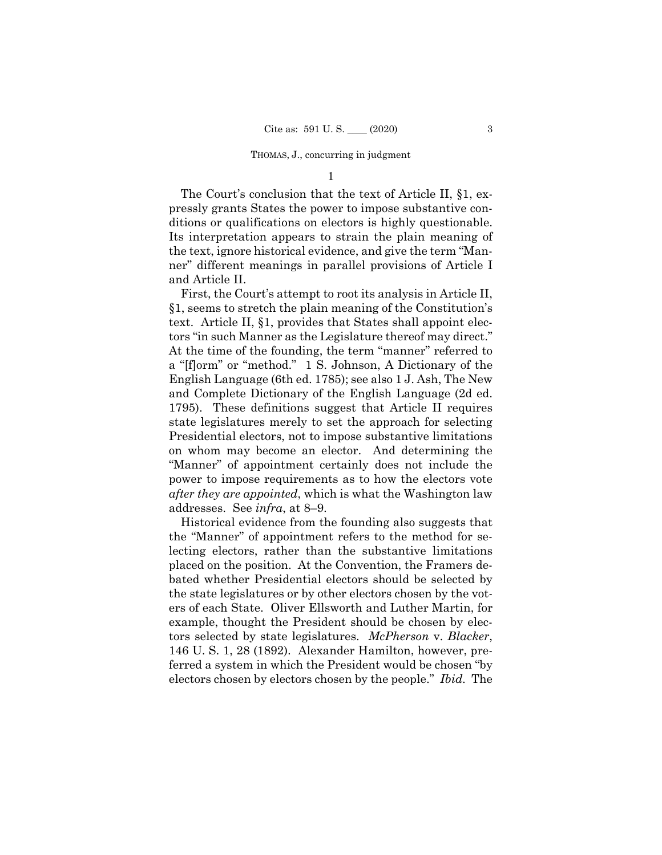1

The Court's conclusion that the text of Article II, §1, expressly grants States the power to impose substantive conditions or qualifications on electors is highly questionable. Its interpretation appears to strain the plain meaning of the text, ignore historical evidence, and give the term "Manner" different meanings in parallel provisions of Article I and Article II.

First, the Court's attempt to root its analysis in Article II, §1, seems to stretch the plain meaning of the Constitution's text. Article II, §1, provides that States shall appoint electors "in such Manner as the Legislature thereof may direct." At the time of the founding, the term "manner" referred to a "[f]orm" or "method." 1 S. Johnson, A Dictionary of the English Language (6th ed. 1785); see also 1 J. Ash, The New and Complete Dictionary of the English Language (2d ed. 1795). These definitions suggest that Article II requires state legislatures merely to set the approach for selecting Presidential electors, not to impose substantive limitations on whom may become an elector. And determining the "Manner" of appointment certainly does not include the power to impose requirements as to how the electors vote *after they are appointed*, which is what the Washington law addresses. See *infra*, at 8–9.

 146 U. S. 1, 28 (1892). Alexander Hamilton, however, pre-Historical evidence from the founding also suggests that the "Manner" of appointment refers to the method for selecting electors, rather than the substantive limitations placed on the position. At the Convention, the Framers debated whether Presidential electors should be selected by the state legislatures or by other electors chosen by the voters of each State. Oliver Ellsworth and Luther Martin, for example, thought the President should be chosen by electors selected by state legislatures. *McPherson* v. *Blacker*, ferred a system in which the President would be chosen "by electors chosen by electors chosen by the people." *Ibid.* The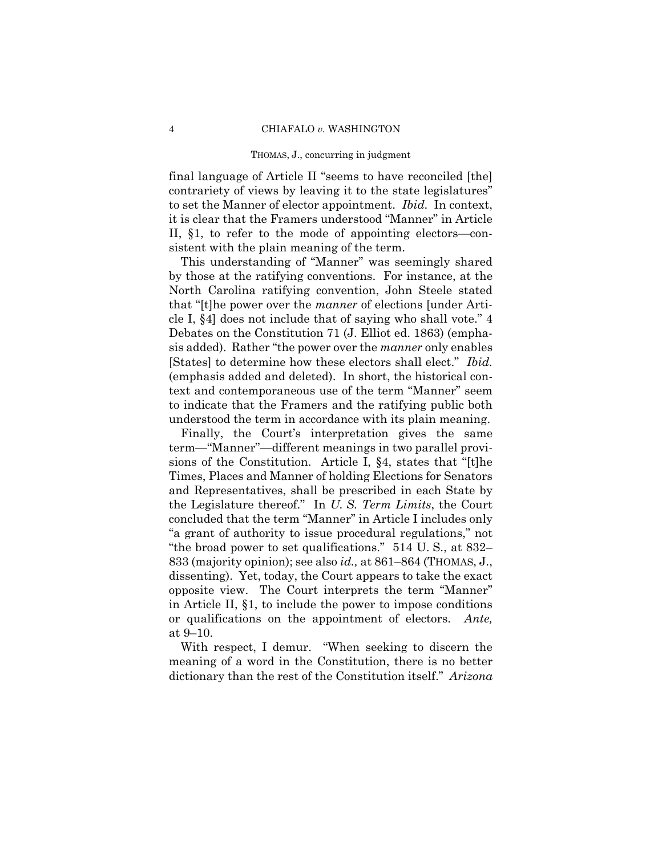to set the Manner of elector appointment. *Ibid.* In context, final language of Article II "seems to have reconciled [the] contrariety of views by leaving it to the state legislatures" it is clear that the Framers understood "Manner" in Article II, §1, to refer to the mode of appointing electors—consistent with the plain meaning of the term.

This understanding of "Manner" was seemingly shared by those at the ratifying conventions. For instance, at the North Carolina ratifying convention, John Steele stated that "[t]he power over the *manner* of elections [under Article I, §4] does not include that of saying who shall vote." 4 Debates on the Constitution 71 (J. Elliot ed. 1863) (emphasis added). Rather "the power over the *manner* only enables [States] to determine how these electors shall elect." *Ibid.*  (emphasis added and deleted). In short, the historical context and contemporaneous use of the term "Manner" seem to indicate that the Framers and the ratifying public both understood the term in accordance with its plain meaning.

Finally, the Court's interpretation gives the same term—"Manner"—different meanings in two parallel provisions of the Constitution. Article I, §4, states that "[t]he Times, Places and Manner of holding Elections for Senators and Representatives, shall be prescribed in each State by the Legislature thereof." In *U. S. Term Limits*, the Court concluded that the term "Manner" in Article I includes only "a grant of authority to issue procedural regulations," not "the broad power to set qualifications." 514 U. S., at 832– 833 (majority opinion); see also *id.,* at 861–864 (THOMAS, J., dissenting). Yet, today, the Court appears to take the exact opposite view. The Court interprets the term "Manner" in Article II, §1, to include the power to impose conditions or qualifications on the appointment of electors. *Ante,*  at 9–10.

With respect, I demur. "When seeking to discern the meaning of a word in the Constitution, there is no better dictionary than the rest of the Constitution itself." *Arizona*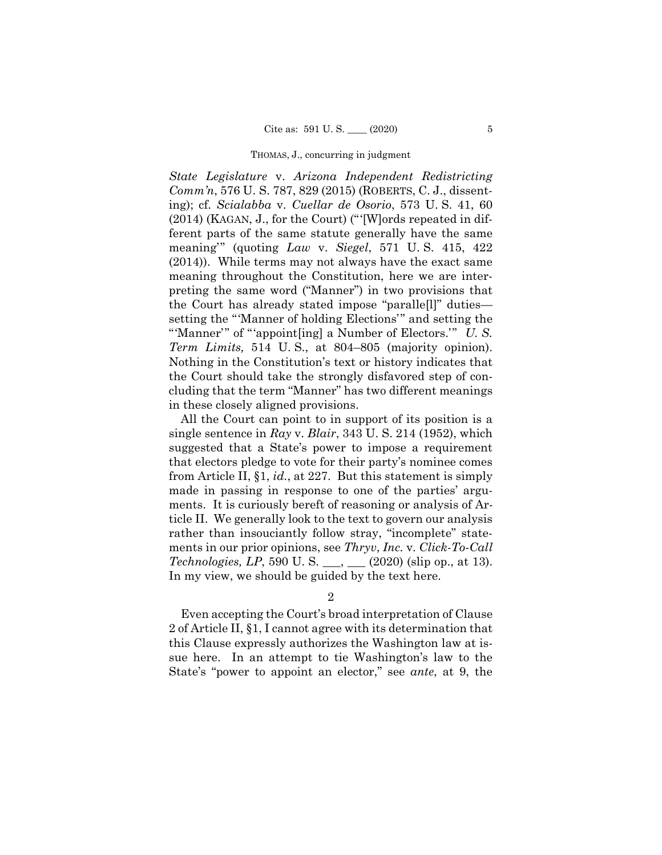*State Legislature* v. *Arizona Independent Redistricting Comm'n*, 576 U. S. 787, 829 (2015) (ROBERTS, C. J., dissenting); cf. *Scialabba* v. *Cuellar de Osorio*, 573 U. S. 41, 60 (2014) (KAGAN, J., for the Court) ("'[W]ords repeated in different parts of the same statute generally have the same meaning'" (quoting *Law* v. *Siegel*, 571 U. S. 415, 422 (2014)). While terms may not always have the exact same meaning throughout the Constitution, here we are interpreting the same word ("Manner") in two provisions that the Court has already stated impose "paralle[l]" duties setting the "'Manner of holding Elections'" and setting the "'Manner'" of "'appoint[ing] a Number of Electors.'" *U. S. Term Limits,* 514 U. S., at 804–805 (majority opinion). Nothing in the Constitution's text or history indicates that the Court should take the strongly disfavored step of concluding that the term "Manner" has two different meanings in these closely aligned provisions.

*Technologies, LP*, 590 U. S. \_\_\_, \_\_\_ (2020) (slip op., at 13). All the Court can point to in support of its position is a single sentence in *Ray* v. *Blair*, 343 U. S. 214 (1952), which suggested that a State's power to impose a requirement that electors pledge to vote for their party's nominee comes from Article II, §1, *id.*, at 227. But this statement is simply made in passing in response to one of the parties' arguments. It is curiously bereft of reasoning or analysis of Article II. We generally look to the text to govern our analysis rather than insouciantly follow stray, "incomplete" statements in our prior opinions, see *Thryv*, *Inc.* v. *Click-To-Call*  In my view, we should be guided by the text here.

2

Even accepting the Court's broad interpretation of Clause 2 of Article II, §1, I cannot agree with its determination that this Clause expressly authorizes the Washington law at issue here. In an attempt to tie Washington's law to the State's "power to appoint an elector," see *ante*, at 9, the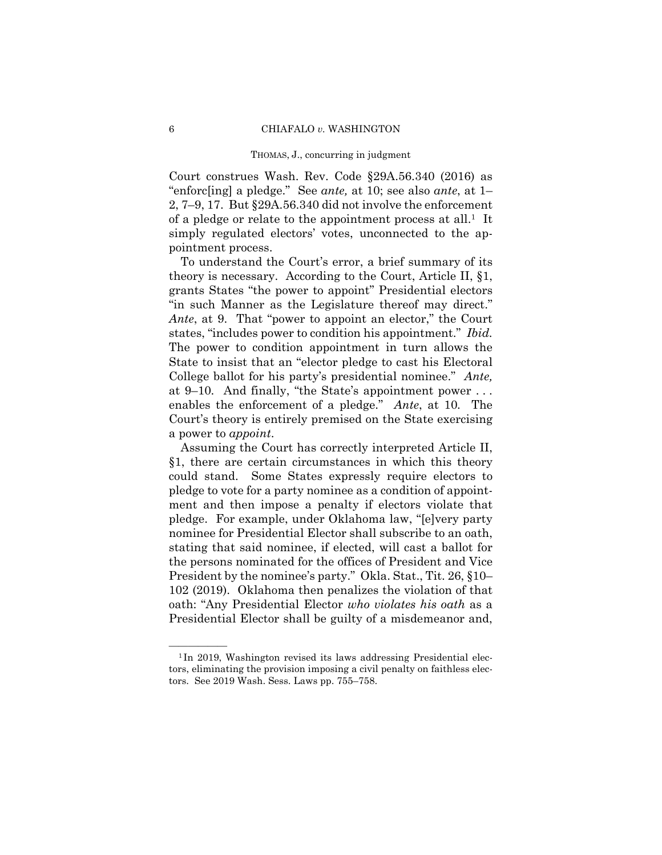Court construes Wash. Rev. Code §29A.56.340 (2016) as "enforc[ing] a pledge." See *ante,* at 10; see also *ante*, at 1– 2, 7–9, 17. But §29A.56.340 did not involve the enforcement of a pledge or relate to the appointment process at all.<sup>1</sup> It simply regulated electors' votes, unconnected to the appointment process.

 at 9–10*.* And finally, "the State's appointment power . . . To understand the Court's error, a brief summary of its theory is necessary. According to the Court, Article II, §1, grants States "the power to appoint" Presidential electors "in such Manner as the Legislature thereof may direct." *Ante*, at 9. That "power to appoint an elector," the Court states, "includes power to condition his appointment." *Ibid.* The power to condition appointment in turn allows the State to insist that an "elector pledge to cast his Electoral College ballot for his party's presidential nominee." *Ante,*  enables the enforcement of a pledge." *Ante*, at 10*.* The Court's theory is entirely premised on the State exercising a power to *appoint*.

Assuming the Court has correctly interpreted Article II, §1, there are certain circumstances in which this theory could stand. Some States expressly require electors to pledge to vote for a party nominee as a condition of appointment and then impose a penalty if electors violate that pledge. For example, under Oklahoma law, "[e]very party nominee for Presidential Elector shall subscribe to an oath, stating that said nominee, if elected, will cast a ballot for the persons nominated for the offices of President and Vice President by the nominee's party." Okla. Stat., Tit. 26, §10– 102 (2019). Oklahoma then penalizes the violation of that oath: "Any Presidential Elector *who violates his oath* as a Presidential Elector shall be guilty of a misdemeanor and,

 $1$ In 2019, Washington revised its laws addressing Presidential electors, eliminating the provision imposing a civil penalty on faithless electors. See 2019 Wash. Sess. Laws pp. 755–758.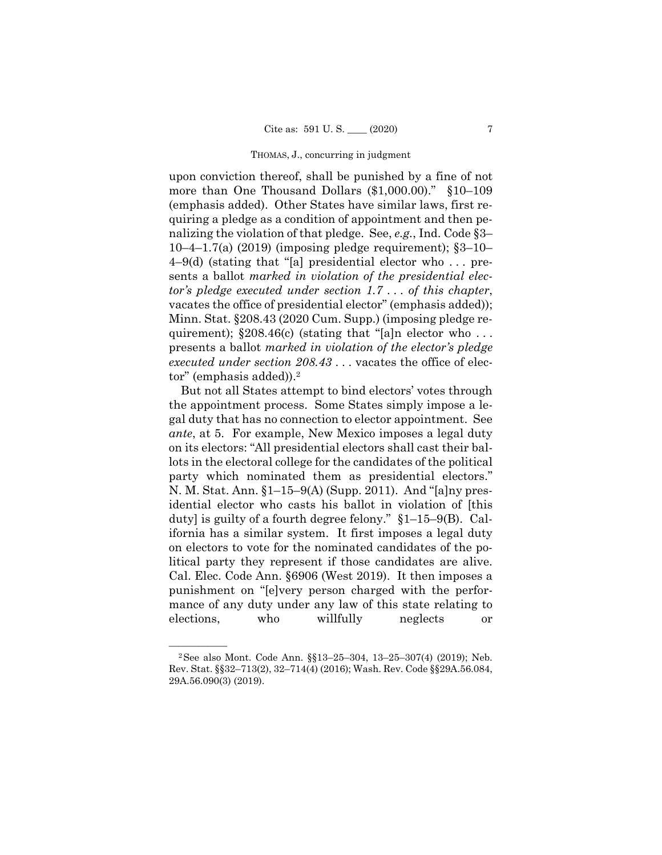upon conviction thereof, shall be punished by a fine of not more than One Thousand Dollars (\$1,000.00)." §10–109 (emphasis added). Other States have similar laws, first requiring a pledge as a condition of appointment and then penalizing the violation of that pledge. See, *e.g.*, Ind. Code §3– 10–4–1.7(a) (2019) (imposing pledge requirement); §3–10– 4–9(d) (stating that "[a] presidential elector who . . . presents a ballot *marked in violation of the presidential elector's pledge executed under section 1.7 . . . of this chapter*, vacates the office of presidential elector" (emphasis added)); Minn. Stat. §208.43 (2020 Cum. Supp.) (imposing pledge requirement);  $\S 208.46(c)$  (stating that "[a]n elector who ... presents a ballot *marked in violation of the elector's pledge executed under section 208.43* . . . vacates the office of elector" (emphasis added)).2

 litical party they represent if those candidates are alive. But not all States attempt to bind electors' votes through the appointment process. Some States simply impose a legal duty that has no connection to elector appointment. See *ante*, at 5. For example, New Mexico imposes a legal duty on its electors: "All presidential electors shall cast their ballots in the electoral college for the candidates of the political party which nominated them as presidential electors." N. M. Stat. Ann. §1–15–9(A) (Supp. 2011). And "[a]ny presidential elector who casts his ballot in violation of [this duty] is guilty of a fourth degree felony." §1–15–9(B). California has a similar system. It first imposes a legal duty on electors to vote for the nominated candidates of the po-Cal. Elec. Code Ann. §6906 (West 2019). It then imposes a punishment on "[e]very person charged with the performance of any duty under any law of this state relating to elections, who willfully neglects or

<sup>&</sup>lt;sup>2</sup>See also Mont. Code Ann. §§13-25-304, 13-25-307(4) (2019); Neb. Rev. Stat. §§32–713(2), 32–714(4) (2016); Wash. Rev. Code §§29A.56.084, 29A.56.090(3) (2019).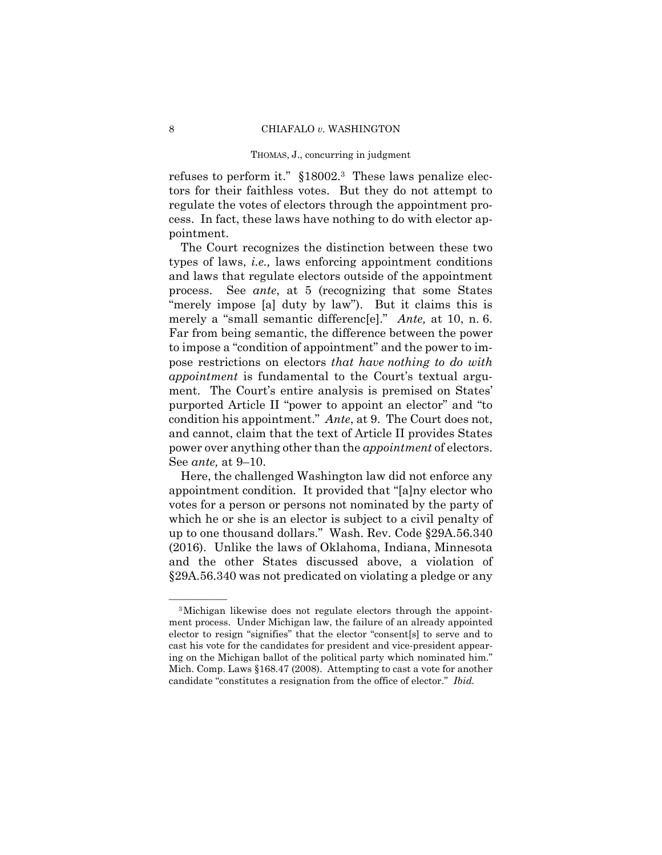refuses to perform it." §18002.3 These laws penalize electors for their faithless votes. But they do not attempt to regulate the votes of electors through the appointment process. In fact, these laws have nothing to do with elector appointment.

 merely a "small semantic differenc[e]." *Ante,* at 10, n. 6. Far from being semantic, the difference between the power The Court recognizes the distinction between these two types of laws, *i.e.,* laws enforcing appointment conditions and laws that regulate electors outside of the appointment process. See *ante*, at 5 (recognizing that some States "merely impose [a] duty by law"). But it claims this is to impose a "condition of appointment" and the power to impose restrictions on electors *that have nothing to do with appointment* is fundamental to the Court's textual argument. The Court's entire analysis is premised on States' purported Article II "power to appoint an elector" and "to condition his appointment." *Ante*, at 9. The Court does not, and cannot, claim that the text of Article II provides States power over anything other than the *appointment* of electors. See *ante,* at 9–10.

Here, the challenged Washington law did not enforce any appointment condition. It provided that "[a]ny elector who votes for a person or persons not nominated by the party of which he or she is an elector is subject to a civil penalty of up to one thousand dollars." Wash. Rev. Code §29A.56.340 (2016). Unlike the laws of Oklahoma, Indiana, Minnesota and the other States discussed above, a violation of §29A.56.340 was not predicated on violating a pledge or any

<sup>&</sup>lt;sup>3</sup>Michigan likewise does not regulate electors through the appointment process. Under Michigan law, the failure of an already appointed elector to resign "signifies" that the elector "consent[s] to serve and to cast his vote for the candidates for president and vice-president appearing on the Michigan ballot of the political party which nominated him." Mich. Comp. Laws §168.47 (2008). Attempting to cast a vote for another candidate "constitutes a resignation from the office of elector." *Ibid.*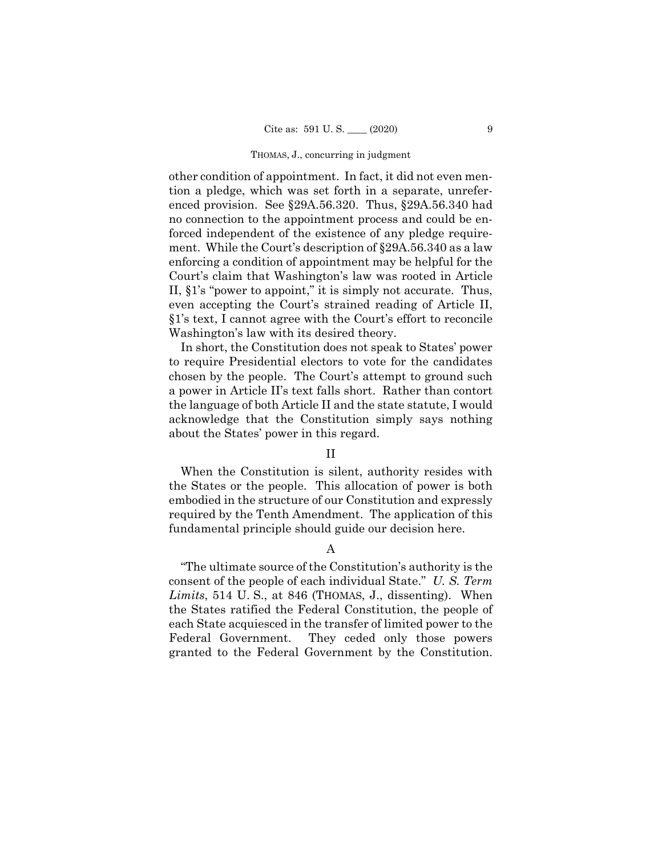other condition of appointment. In fact, it did not even mention a pledge, which was set forth in a separate, unreferenced provision. See §29A.56.320. Thus, §29A.56.340 had no connection to the appointment process and could be enforced independent of the existence of any pledge requirement. While the Court's description of §29A.56.340 as a law enforcing a condition of appointment may be helpful for the Court's claim that Washington's law was rooted in Article II, §1's "power to appoint," it is simply not accurate. Thus, even accepting the Court's strained reading of Article II, §1's text, I cannot agree with the Court's effort to reconcile Washington's law with its desired theory.

In short, the Constitution does not speak to States' power to require Presidential electors to vote for the candidates chosen by the people. The Court's attempt to ground such a power in Article II's text falls short. Rather than contort the language of both Article II and the state statute, I would acknowledge that the Constitution simply says nothing about the States' power in this regard.

## II

When the Constitution is silent, authority resides with the States or the people. This allocation of power is both embodied in the structure of our Constitution and expressly required by the Tenth Amendment. The application of this fundamental principle should guide our decision here.

## A

"The ultimate source of the Constitution's authority is the consent of the people of each individual State." *U. S. Term Limits*, 514 U. S., at 846 (THOMAS, J., dissenting). When the States ratified the Federal Constitution, the people of each State acquiesced in the transfer of limited power to the Federal Government. They ceded only those powers granted to the Federal Government by the Constitution.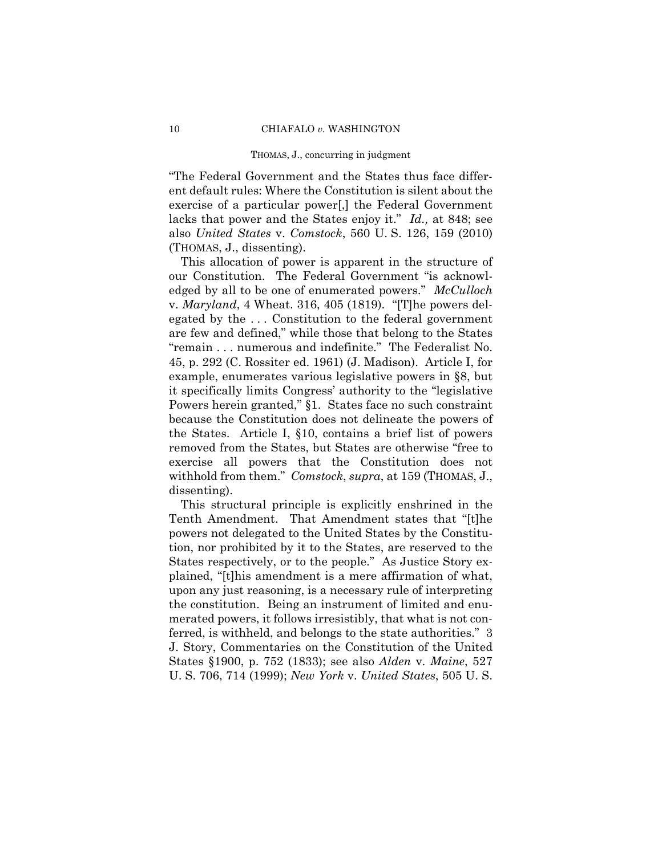"The Federal Government and the States thus face different default rules: Where the Constitution is silent about the exercise of a particular power[,] the Federal Government lacks that power and the States enjoy it." *Id.,* at 848; see also *United States* v. *Comstock*, 560 U. S. 126, 159 (2010) (THOMAS, J., dissenting).

This allocation of power is apparent in the structure of our Constitution. The Federal Government "is acknowledged by all to be one of enumerated powers." *McCulloch*  v. *Maryland*, 4 Wheat. 316, 405 (1819). "[T]he powers delegated by the . . . Constitution to the federal government are few and defined," while those that belong to the States "remain . . . numerous and indefinite." The Federalist No. 45, p. 292 (C. Rossiter ed. 1961) (J. Madison). Article I, for example, enumerates various legislative powers in §8, but it specifically limits Congress' authority to the "legislative Powers herein granted," §1. States face no such constraint because the Constitution does not delineate the powers of the States. Article I, §10, contains a brief list of powers removed from the States, but States are otherwise "free to exercise all powers that the Constitution does not withhold from them." *Comstock*, *supra*, at 159 (THOMAS, J., dissenting).

 U. S. 706, 714 (1999); *New York* v. *United States*, 505 U. S. This structural principle is explicitly enshrined in the Tenth Amendment. That Amendment states that "[t]he powers not delegated to the United States by the Constitution, nor prohibited by it to the States, are reserved to the States respectively, or to the people." As Justice Story explained, "[t]his amendment is a mere affirmation of what, upon any just reasoning, is a necessary rule of interpreting the constitution. Being an instrument of limited and enumerated powers, it follows irresistibly, that what is not conferred, is withheld, and belongs to the state authorities." 3 J. Story, Commentaries on the Constitution of the United States §1900, p. 752 (1833); see also *Alden* v. *Maine*, 527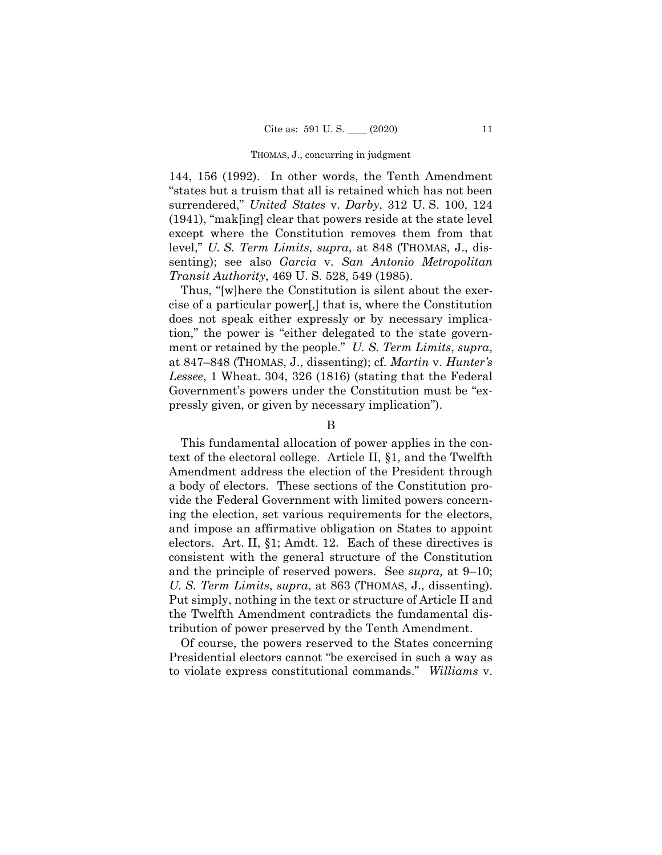144, 156 (1992). In other words, the Tenth Amendment "states but a truism that all is retained which has not been surrendered," *United States* v. *Darby*, 312 U. S. 100, 124 (1941), "mak[ing] clear that powers reside at the state level except where the Constitution removes them from that level," *U. S. Term Limits*, *supra*, at 848 (THOMAS, J., dissenting); see also *Garcia* v. *San Antonio Metropolitan Transit Authority*, 469 U. S. 528, 549 (1985).

Thus, "[w]here the Constitution is silent about the exercise of a particular power[,] that is, where the Constitution does not speak either expressly or by necessary implication," the power is "either delegated to the state government or retained by the people." *U. S. Term Limits*, *supra*, at 847–848 (THOMAS, J., dissenting); cf. *Martin* v. *Hunter's Lessee*, 1 Wheat. 304, 326 (1816) (stating that the Federal Government's powers under the Constitution must be "expressly given, or given by necessary implication").

## B

This fundamental allocation of power applies in the context of the electoral college. Article II, §1, and the Twelfth Amendment address the election of the President through a body of electors. These sections of the Constitution provide the Federal Government with limited powers concerning the election, set various requirements for the electors, and impose an affirmative obligation on States to appoint electors. Art. II, §1; Amdt. 12. Each of these directives is consistent with the general structure of the Constitution and the principle of reserved powers. See *supra,* at 9–10; *U. S. Term Limits*, *supra*, at 863 (THOMAS, J., dissenting). Put simply, nothing in the text or structure of Article II and the Twelfth Amendment contradicts the fundamental distribution of power preserved by the Tenth Amendment.

Of course, the powers reserved to the States concerning Presidential electors cannot "be exercised in such a way as to violate express constitutional commands." *Williams* v.